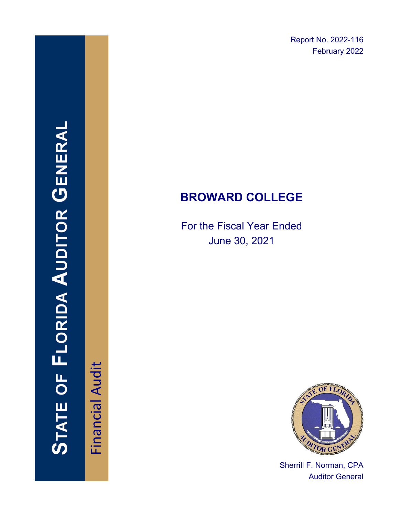Report No. 2022-116 February 2022

# **BROWARD COLLEGE**

For the Fiscal Year Ended June 30, 2021



Sherrill F. Norman, CPA Auditor General

Financial Audit Financial Audit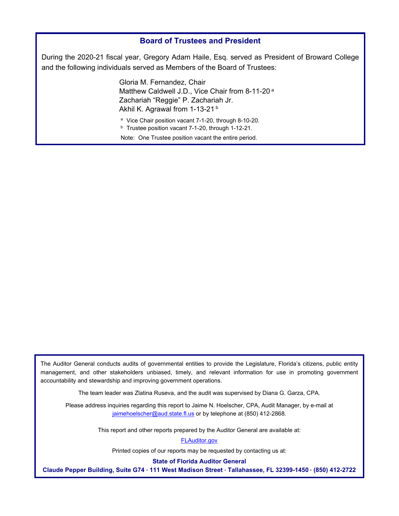#### **Board of Trustees and President**

During the 2020-21 fiscal year, Gregory Adam Haile, Esq. served as President of Broward College and the following individuals served as Members of the Board of Trustees:

> Gloria M. Fernandez, Chair Matthew Caldwell J.D., Vice Chair from 8-11-20<sup>a</sup> Zachariah "Reggie" P. Zachariah Jr. Akhil K. Agrawal from 1-13-21 b

<sup>a</sup> Vice Chair position vacant 7-1-20, through 8-10-20.

<sup>b</sup> Trustee position vacant 7-1-20, through 1-12-21.

Note: One Trustee position vacant the entire period.

The Auditor General conducts audits of governmental entities to provide the Legislature, Florida's citizens, public entity management, and other stakeholders unbiased, timely, and relevant information for use in promoting government accountability and stewardship and improving government operations.

The team leader was Zlatina Ruseva, and the audit was supervised by Diana G. Garza, CPA.

Please address inquiries regarding this report to Jaime N. Hoelscher, CPA, Audit Manager, by e-mail at jaimehoelscher@aud.state.fl.us or by telephone at (850) 412-2868.

This report and other reports prepared by the Auditor General are available at:

[FLAuditor.gov](http://flauditor.gov/) 

Printed copies of our reports may be requested by contacting us at:

**State of Florida Auditor General** 

**Claude Pepper Building, Suite G74 ∙ 111 West Madison Street ∙ Tallahassee, FL 32399-1450 ∙ (850) 412-2722**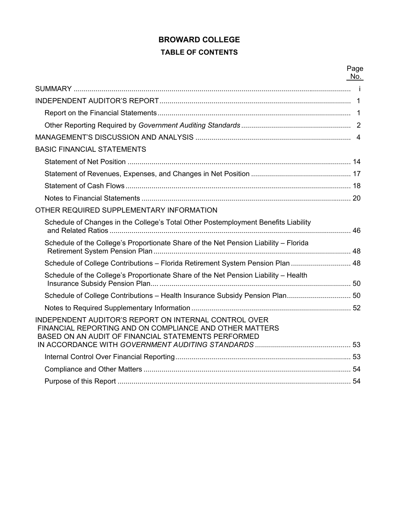## **BROWARD COLLEGE TABLE OF CONTENTS**

|                                                                                                                                                                         | Page<br>No. |
|-------------------------------------------------------------------------------------------------------------------------------------------------------------------------|-------------|
|                                                                                                                                                                         |             |
|                                                                                                                                                                         |             |
|                                                                                                                                                                         |             |
|                                                                                                                                                                         |             |
|                                                                                                                                                                         |             |
| <b>BASIC FINANCIAL STATEMENTS</b>                                                                                                                                       |             |
|                                                                                                                                                                         |             |
|                                                                                                                                                                         |             |
|                                                                                                                                                                         |             |
|                                                                                                                                                                         |             |
| OTHER REQUIRED SUPPLEMENTARY INFORMATION                                                                                                                                |             |
| Schedule of Changes in the College's Total Other Postemployment Benefits Liability                                                                                      |             |
| Schedule of the College's Proportionate Share of the Net Pension Liability - Florida                                                                                    |             |
| Schedule of College Contributions - Florida Retirement System Pension Plan  48                                                                                          |             |
| Schedule of the College's Proportionate Share of the Net Pension Liability - Health                                                                                     |             |
| Schedule of College Contributions - Health Insurance Subsidy Pension Plan 50                                                                                            |             |
|                                                                                                                                                                         |             |
| INDEPENDENT AUDITOR'S REPORT ON INTERNAL CONTROL OVER<br>FINANCIAL REPORTING AND ON COMPLIANCE AND OTHER MATTERS<br>BASED ON AN AUDIT OF FINANCIAL STATEMENTS PERFORMED |             |
|                                                                                                                                                                         |             |
|                                                                                                                                                                         |             |
|                                                                                                                                                                         |             |
|                                                                                                                                                                         |             |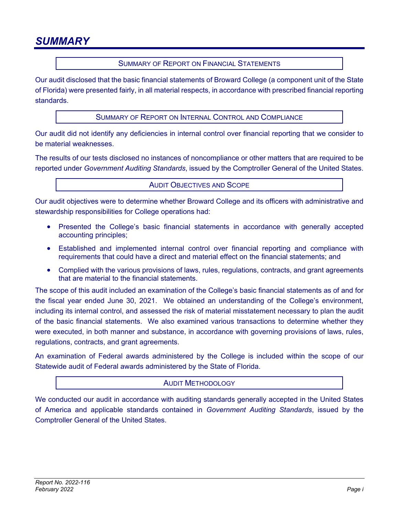## SUMMARY OF REPORT ON FINANCIAL STATEMENTS

<span id="page-3-0"></span>Our audit disclosed that the basic financial statements of Broward College (a component unit of the State of Florida) were presented fairly, in all material respects, in accordance with prescribed financial reporting standards.

SUMMARY OF REPORT ON INTERNAL CONTROL AND COMPLIANCE

Our audit did not identify any deficiencies in internal control over financial reporting that we consider to be material weaknesses.

The results of our tests disclosed no instances of noncompliance or other matters that are required to be reported under *Government Auditing Standards*, issued by the Comptroller General of the United States.

#### AUDIT OBJECTIVES AND SCOPE

Our audit objectives were to determine whether Broward College and its officers with administrative and stewardship responsibilities for College operations had:

- Presented the College's basic financial statements in accordance with generally accepted accounting principles;
- Established and implemented internal control over financial reporting and compliance with requirements that could have a direct and material effect on the financial statements; and
- Complied with the various provisions of laws, rules, regulations, contracts, and grant agreements that are material to the financial statements.

The scope of this audit included an examination of the College's basic financial statements as of and for the fiscal year ended June 30, 2021. We obtained an understanding of the College's environment, including its internal control, and assessed the risk of material misstatement necessary to plan the audit of the basic financial statements. We also examined various transactions to determine whether they were executed, in both manner and substance, in accordance with governing provisions of laws, rules, regulations, contracts, and grant agreements.

An examination of Federal awards administered by the College is included within the scope of our Statewide audit of Federal awards administered by the State of Florida.

## AUDIT METHODOLOGY

We conducted our audit in accordance with auditing standards generally accepted in the United States of America and applicable standards contained in *Government Auditing Standards*, issued by the Comptroller General of the United States.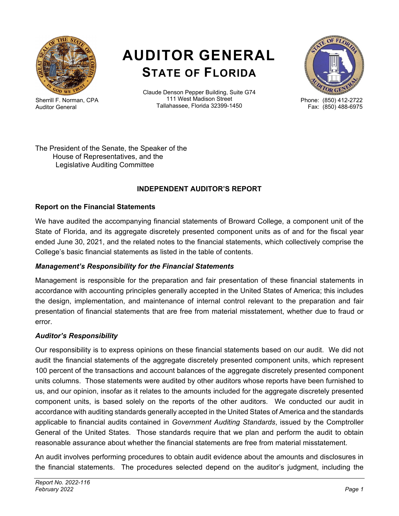<span id="page-4-0"></span>

Sherrill F. Norman, CPA Auditor General

# **AUDITOR GENERAL STATE OF FLORIDA**

Claude Denson Pepper Building, Suite G74 111 West Madison Street Tallahassee, Florida 32399-1450



Phone: (850) 412-2722 Fax: (850) 488-6975

The President of the Senate, the Speaker of the House of Representatives, and the Legislative Auditing Committee

## **INDEPENDENT AUDITOR'S REPORT**

## **Report on the Financial Statements**

We have audited the accompanying financial statements of Broward College, a component unit of the State of Florida, and its aggregate discretely presented component units as of and for the fiscal year ended June 30, 2021, and the related notes to the financial statements, which collectively comprise the College's basic financial statements as listed in the table of contents.

## *Management's Responsibility for the Financial Statements*

Management is responsible for the preparation and fair presentation of these financial statements in accordance with accounting principles generally accepted in the United States of America; this includes the design, implementation, and maintenance of internal control relevant to the preparation and fair presentation of financial statements that are free from material misstatement, whether due to fraud or error.

## *Auditor's Responsibility*

Our responsibility is to express opinions on these financial statements based on our audit. We did not audit the financial statements of the aggregate discretely presented component units, which represent 100 percent of the transactions and account balances of the aggregate discretely presented component units columns. Those statements were audited by other auditors whose reports have been furnished to us, and our opinion, insofar as it relates to the amounts included for the aggregate discretely presented component units, is based solely on the reports of the other auditors. We conducted our audit in accordance with auditing standards generally accepted in the United States of America and the standards applicable to financial audits contained in *Government Auditing Standards*, issued by the Comptroller General of the United States. Those standards require that we plan and perform the audit to obtain reasonable assurance about whether the financial statements are free from material misstatement.

An audit involves performing procedures to obtain audit evidence about the amounts and disclosures in the financial statements. The procedures selected depend on the auditor's judgment, including the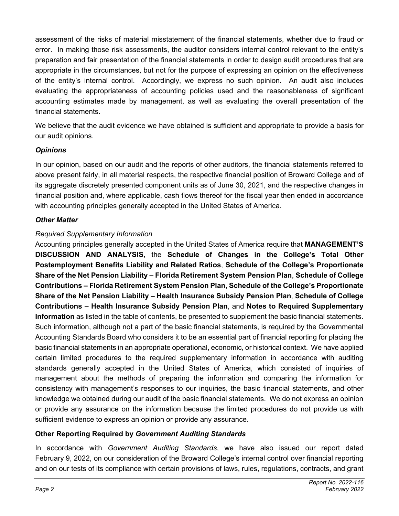<span id="page-5-0"></span>assessment of the risks of material misstatement of the financial statements, whether due to fraud or error. In making those risk assessments, the auditor considers internal control relevant to the entity's preparation and fair presentation of the financial statements in order to design audit procedures that are appropriate in the circumstances, but not for the purpose of expressing an opinion on the effectiveness of the entity's internal control. Accordingly, we express no such opinion. An audit also includes evaluating the appropriateness of accounting policies used and the reasonableness of significant accounting estimates made by management, as well as evaluating the overall presentation of the financial statements.

We believe that the audit evidence we have obtained is sufficient and appropriate to provide a basis for our audit opinions.

## *Opinions*

In our opinion, based on our audit and the reports of other auditors, the financial statements referred to above present fairly, in all material respects, the respective financial position of Broward College and of its aggregate discretely presented component units as of June 30, 2021, and the respective changes in financial position and, where applicable, cash flows thereof for the fiscal year then ended in accordance with accounting principles generally accepted in the United States of America.

## *Other Matter*

## *Required Supplementary Information*

Accounting principles generally accepted in the United States of America require that **MANAGEMENT'S DISCUSSION AND ANALYSIS**, the **Schedule of Changes in the College's Total Other Postemployment Benefits Liability and Related Ratios**, **Schedule of the College's Proportionate Share of the Net Pension Liability – Florida Retirement System Pension Plan**, **Schedule of College Contributions – Florida Retirement System Pension Plan**, **Schedule of the College's Proportionate Share of the Net Pension Liability – Health Insurance Subsidy Pension Plan**, **Schedule of College Contributions – Health Insurance Subsidy Pension Plan**, and **Notes to Required Supplementary Information** as listed in the table of contents, be presented to supplement the basic financial statements. Such information, although not a part of the basic financial statements, is required by the Governmental Accounting Standards Board who considers it to be an essential part of financial reporting for placing the basic financial statements in an appropriate operational, economic, or historical context. We have applied certain limited procedures to the required supplementary information in accordance with auditing standards generally accepted in the United States of America, which consisted of inquiries of management about the methods of preparing the information and comparing the information for consistency with management's responses to our inquiries, the basic financial statements, and other knowledge we obtained during our audit of the basic financial statements. We do not express an opinion or provide any assurance on the information because the limited procedures do not provide us with sufficient evidence to express an opinion or provide any assurance.

## **Other Reporting Required by** *Government Auditing Standards*

In accordance with *Government Auditing Standards*, we have also issued our report dated February 9, 2022, on our consideration of the Broward College's internal control over financial reporting and on our tests of its compliance with certain provisions of laws, rules, regulations, contracts, and grant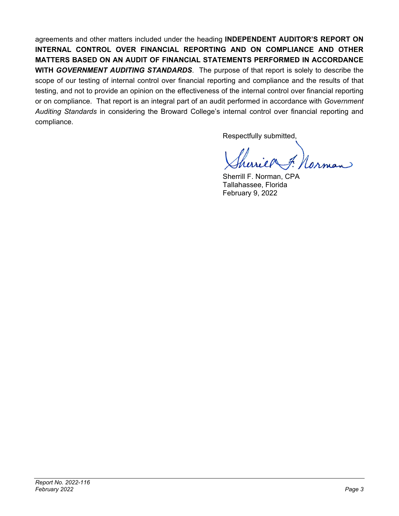agreements and other matters included under the heading **INDEPENDENT AUDITOR'S REPORT ON INTERNAL CONTROL OVER FINANCIAL REPORTING AND ON COMPLIANCE AND OTHER MATTERS BASED ON AN AUDIT OF FINANCIAL STATEMENTS PERFORMED IN ACCORDANCE WITH** *GOVERNMENT AUDITING STANDARDS*. The purpose of that report is solely to describe the scope of our testing of internal control over financial reporting and compliance and the results of that testing, and not to provide an opinion on the effectiveness of the internal control over financial reporting or on compliance. That report is an integral part of an audit performed in accordance with *Government Auditing Standards* in considering the Broward College's internal control over financial reporting and compliance.

Respectfully submitted,

Sherrill F. Norman, CPA Tallahassee, Florida February 9, 2022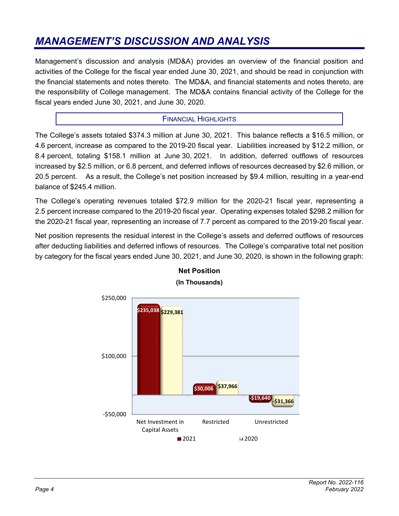## <span id="page-7-0"></span>*MANAGEMENT'S DISCUSSION AND ANALYSIS*

Management's discussion and analysis (MD&A) provides an overview of the financial position and activities of the College for the fiscal year ended June 30, 2021, and should be read in conjunction with the financial statements and notes thereto. The MD&A, and financial statements and notes thereto, are the responsibility of College management. The MD&A contains financial activity of the College for the fiscal years ended June 30, 2021, and June 30, 2020.

## FINANCIAL HIGHLIGHTS

The College's assets totaled \$374.3 million at June 30, 2021. This balance reflects a \$16.5 million, or 4.6 percent, increase as compared to the 2019-20 fiscal year. Liabilities increased by \$12.2 million, or 8.4 percent, totaling \$158.1 million at June 30, 2021. In addition, deferred outflows of resources increased by \$2.5 million, or 6.8 percent, and deferred inflows of resources decreased by \$2.6 million, or 20.5 percent. As a result, the College's net position increased by \$9.4 million, resulting in a year-end balance of \$245.4 million.

The College's operating revenues totaled \$72.9 million for the 2020-21 fiscal year, representing a 2.5 percent increase compared to the 2019-20 fiscal year. Operating expenses totaled \$298.2 million for the 2020-21 fiscal year, representing an increase of 7.7 percent as compared to the 2019-20 fiscal year.

Net position represents the residual interest in the College's assets and deferred outflows of resources after deducting liabilities and deferred inflows of resources. The College's comparative total net position by category for the fiscal years ended June 30, 2021, and June 30, 2020, is shown in the following graph:



## **Net Position (In Thousands)**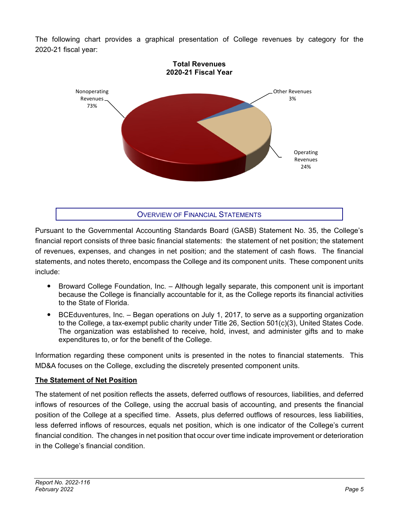The following chart provides a graphical presentation of College revenues by category for the 2020-21 fiscal year:



OVERVIEW OF FINANCIAL STATEMENTS

Pursuant to the Governmental Accounting Standards Board (GASB) Statement No. 35, the College's financial report consists of three basic financial statements: the statement of net position; the statement of revenues, expenses, and changes in net position; and the statement of cash flows. The financial statements, and notes thereto, encompass the College and its component units. These component units include:

- Broward College Foundation, Inc. Although legally separate, this component unit is important because the College is financially accountable for it, as the College reports its financial activities to the State of Florida.
- BCEduventures, Inc. Began operations on July 1, 2017, to serve as a supporting organization to the College, a tax-exempt public charity under Title 26, Section 501(c)(3), United States Code. The organization was established to receive, hold, invest, and administer gifts and to make expenditures to, or for the benefit of the College.

Information regarding these component units is presented in the notes to financial statements. This MD&A focuses on the College, excluding the discretely presented component units.

## **The Statement of Net Position**

The statement of net position reflects the assets, deferred outflows of resources, liabilities, and deferred inflows of resources of the College, using the accrual basis of accounting, and presents the financial position of the College at a specified time. Assets, plus deferred outflows of resources, less liabilities, less deferred inflows of resources, equals net position, which is one indicator of the College's current financial condition. The changes in net position that occur over time indicate improvement or deterioration in the College's financial condition.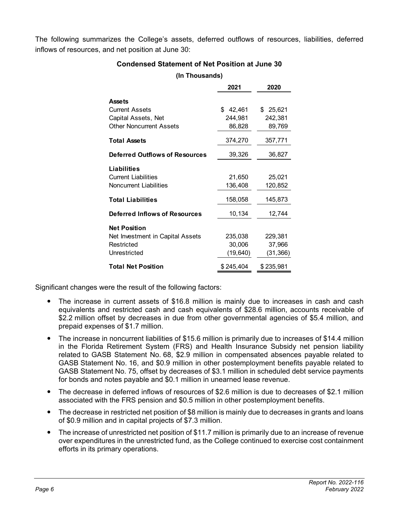The following summarizes the College's assets, deferred outflows of resources, liabilities, deferred inflows of resources, and net position at June 30:

#### **Condensed Statement of Net Position at June 30**

**(In Thousands)** 

|                                  | 2021          | 2020      |
|----------------------------------|---------------|-----------|
| <b>Assets</b>                    |               |           |
| <b>Current Assets</b>            | \$.<br>42,461 | \$ 25,621 |
| Capital Assets, Net              | 244,981       | 242,381   |
| <b>Other Noncurrent Assets</b>   | 86,828        | 89,769    |
| <b>Total Assets</b>              | 374,270       | 357,771   |
| Deferred Outflows of Resources   | 39,326        | 36,827    |
| Liabilities                      |               |           |
| <b>Current Liabilities</b>       | 21,650        | 25,021    |
| <b>Noncurrent Liabilities</b>    | 136,408       | 120,852   |
| <b>Total Liabilities</b>         | 158,058       | 145,873   |
| Deferred Inflows of Resources    | 10,134        | 12,744    |
| <b>Net Position</b>              |               |           |
| Net Investment in Capital Assets | 235,038       | 229,381   |
| Restricted                       | 30,006        | 37,966    |
| Unrestricted                     | (19, 640)     | (31, 366) |
| <b>Total Net Position</b>        | \$245,404     | \$235,981 |

Significant changes were the result of the following factors:

- The increase in current assets of \$16.8 million is mainly due to increases in cash and cash equivalents and restricted cash and cash equivalents of \$28.6 million, accounts receivable of \$2.2 million offset by decreases in due from other governmental agencies of \$5.4 million, and prepaid expenses of \$1.7 million.
- The increase in noncurrent liabilities of \$15.6 million is primarily due to increases of \$14.4 million in the Florida Retirement System (FRS) and Health Insurance Subsidy net pension liability related to GASB Statement No. 68, \$2.9 million in compensated absences payable related to GASB Statement No. 16, and \$0.9 million in other postemployment benefits payable related to GASB Statement No. 75, offset by decreases of \$3.1 million in scheduled debt service payments for bonds and notes payable and \$0.1 million in unearned lease revenue.
- The decrease in deferred inflows of resources of \$2.6 million is due to decreases of \$2.1 million associated with the FRS pension and \$0.5 million in other postemployment benefits.
- The decrease in restricted net position of \$8 million is mainly due to decreases in grants and loans of \$0.9 million and in capital projects of \$7.3 million.
- The increase of unrestricted net position of \$11.7 million is primarily due to an increase of revenue over expenditures in the unrestricted fund, as the College continued to exercise cost containment efforts in its primary operations.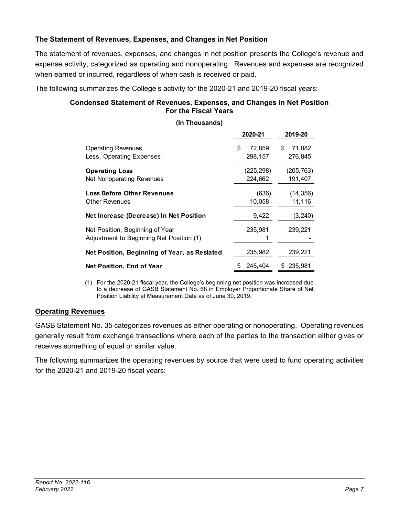## **The Statement of Revenues, Expenses, and Changes in Net Position**

The statement of revenues, expenses, and changes in net position presents the College's revenue and expense activity, categorized as operating and nonoperating. Revenues and expenses are recognized when earned or incurred, regardless of when cash is received or paid.

The following summarizes the College's activity for the 2020-21 and 2019-20 fiscal years:

## **Condensed Statement of Revenues, Expenses, and Changes in Net Position For the Fiscal Years**

|                                                                             | 2020-21                 | 2019-20                 |
|-----------------------------------------------------------------------------|-------------------------|-------------------------|
| <b>Operating Revenues</b><br>Less, Operating Expenses                       | \$<br>72,859<br>298,157 | \$<br>71,082<br>276,845 |
| <b>Operating Loss</b><br>Net Nonoperating Revenues                          | (225, 298)<br>224,662   | (205, 763)<br>191,407   |
| <b>Loss Before Other Revenues</b><br><b>Other Revenues</b>                  | (636)<br>10,058         | (14, 356)<br>11,116     |
| Net Increase (Decrease) In Net Position                                     | 9,422                   | (3, 240)                |
| Net Position, Beginning of Year<br>Adjustment to Beginning Net Position (1) | 235,981                 | 239,221                 |
| Net Position, Beginning of Year, as Restated                                | 235,982                 | 239,221                 |
| Net Position, End of Year                                                   | 245,404                 | \$235,981               |

**(In Thousands)** 

(1) For the 2020-21 fiscal year, the College's beginning net position was increased due to a decrease of GASB Statement No. 68 in Employer Proportionate Share of Net Position Liability at Measurement Date as of June 30, 2019.

## **Operating Revenues**

GASB Statement No. 35 categorizes revenues as either operating or nonoperating. Operating revenues generally result from exchange transactions where each of the parties to the transaction either gives or receives something of equal or similar value.

The following summarizes the operating revenues by source that were used to fund operating activities for the 2020-21 and 2019-20 fiscal years: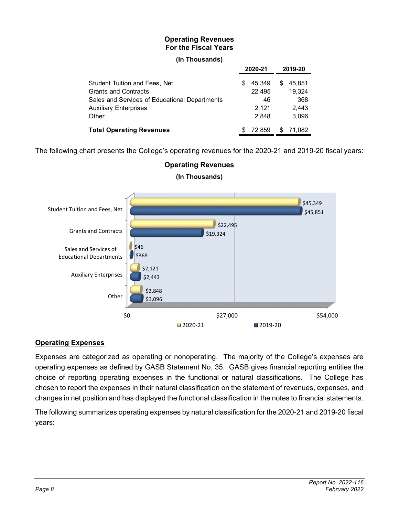## **Operating Revenues For the Fiscal Years**

#### **(In Thousands)**

|                                                                               | 2020-21 |                  | 2019-20 |                  |
|-------------------------------------------------------------------------------|---------|------------------|---------|------------------|
| <b>Student Tuition and Fees, Net</b><br><b>Grants and Contracts</b>           | S       | 45.349<br>22,495 | S       | 45.851<br>19,324 |
| Sales and Services of Educational Departments<br><b>Auxiliary Enterprises</b> |         | 46<br>2,121      |         | 368<br>2,443     |
| Other                                                                         |         | 2.848            |         | 3,096            |
| <b>Total Operating Revenues</b>                                               |         | 72.859           |         | \$ 71.082        |

The following chart presents the College's operating revenues for the 2020-21 and 2019-20 fiscal years:



## **Operating Revenues (In Thousands)**

## **Operating Expenses**

Expenses are categorized as operating or nonoperating. The majority of the College's expenses are operating expenses as defined by GASB Statement No. 35. GASB gives financial reporting entities the choice of reporting operating expenses in the functional or natural classifications. The College has chosen to report the expenses in their natural classification on the statement of revenues, expenses, and changes in net position and has displayed the functional classification in the notes to financial statements.

The following summarizes operating expenses by natural classification for the 2020-21 and 2019-20 fiscal years: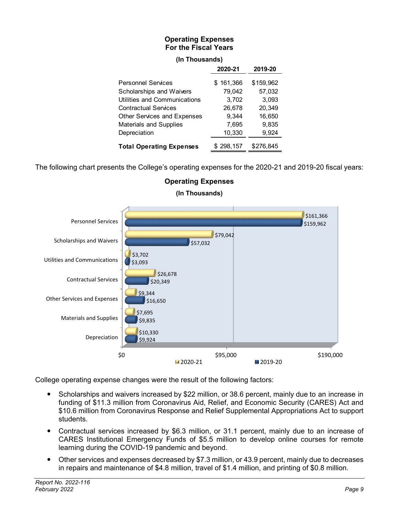## **Operating Expenses For the Fiscal Years**

#### **(In Thousands)**

|                                    | 2020-21   | 2019-20   |
|------------------------------------|-----------|-----------|
| <b>Personnel Services</b>          | \$161,366 | \$159,962 |
| Scholarships and Waivers           | 79,042    | 57,032    |
| Utilities and Communications       | 3,702     | 3,093     |
| <b>Contractual Services</b>        | 26,678    | 20,349    |
| <b>Other Services and Expenses</b> | 9,344     | 16,650    |
| <b>Materials and Supplies</b>      | 7,695     | 9,835     |
| Depreciation                       | 10,330    | 9,924     |
| <b>Total Operating Expenses</b>    | \$298,157 | \$276,845 |

The following chart presents the College's operating expenses for the 2020-21 and 2019-20 fiscal years:



## **Operating Expenses**

**(In Thousands)** 

College operating expense changes were the result of the following factors:

- Scholarships and waivers increased by \$22 million, or 38.6 percent, mainly due to an increase in funding of \$11.3 million from Coronavirus Aid, Relief, and Economic Security (CARES) Act and \$10.6 million from Coronavirus Response and Relief Supplemental Appropriations Act to support students.
- Contractual services increased by \$6.3 million, or 31.1 percent, mainly due to an increase of CARES Institutional Emergency Funds of \$5.5 million to develop online courses for remote learning during the COVID-19 pandemic and beyond.
- Other services and expenses decreased by \$7.3 million, or 43.9 percent, mainly due to decreases in repairs and maintenance of \$4.8 million, travel of \$1.4 million, and printing of \$0.8 million.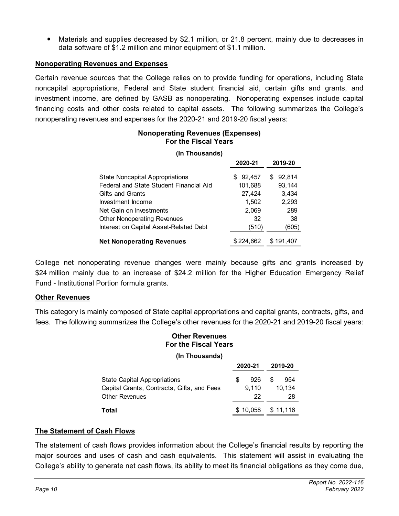Materials and supplies decreased by \$2.1 million, or 21.8 percent, mainly due to decreases in data software of \$1.2 million and minor equipment of \$1.1 million.

#### **Nonoperating Revenues and Expenses**

Certain revenue sources that the College relies on to provide funding for operations, including State noncapital appropriations, Federal and State student financial aid, certain gifts and grants, and investment income, are defined by GASB as nonoperating. Nonoperating expenses include capital financing costs and other costs related to capital assets. The following summarizes the College's nonoperating revenues and expenses for the 2020-21 and 2019-20 fiscal years:

#### **Nonoperating Revenues (Expenses) For the Fiscal Years**

| (In Thousands)                          |             |             |
|-----------------------------------------|-------------|-------------|
|                                         | 2020-21     | 2019-20     |
| State Noncapital Appropriations         | 92,457<br>S | 92,814<br>S |
| Federal and State Student Financial Aid | 101,688     | 93,144      |
| Gifts and Grants                        | 27,424      | 3,434       |
| Investment Income                       | 1,502       | 2,293       |
| Net Gain on Investments                 | 2,069       | 289         |
| <b>Other Nonoperating Revenues</b>      | 32          | 38          |
| Interest on Capital Asset-Related Debt  | (510)       | (605)       |
| Net Nonoperating Revenues               | \$224,662   | \$191.407   |

College net nonoperating revenue changes were mainly because gifts and grants increased by \$24 million mainly due to an increase of \$24.2 million for the Higher Education Emergency Relief Fund - Institutional Portion formula grants.

#### **Other Revenues**

This category is mainly composed of State capital appropriations and capital grants, contracts, gifts, and fees. The following summarizes the College's other revenues for the 2020-21 and 2019-20 fiscal years:

#### **Other Revenues For the Fiscal Years**

#### **(In Thousands)**

|                                            | 2020-21 |                     | 2019-20 |        |
|--------------------------------------------|---------|---------------------|---------|--------|
| <b>State Capital Appropriations</b>        | \$.     | 926                 |         | 954    |
| Capital Grants, Contracts, Gifts, and Fees |         | 9.110               |         | 10.134 |
| <b>Other Revenues</b>                      |         | 22                  |         | 28     |
| Total                                      |         | $$10,058$ $$11,116$ |         |        |

#### **The Statement of Cash Flows**

The statement of cash flows provides information about the College's financial results by reporting the major sources and uses of cash and cash equivalents. This statement will assist in evaluating the College's ability to generate net cash flows, its ability to meet its financial obligations as they come due,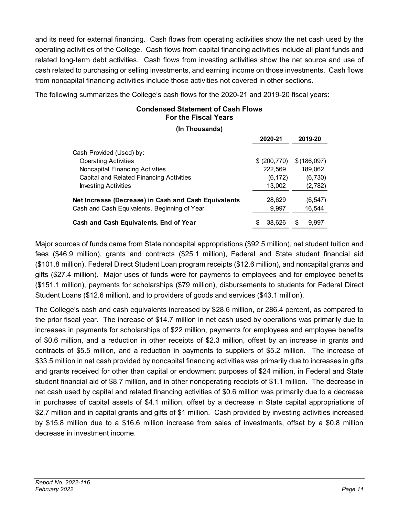and its need for external financing. Cash flows from operating activities show the net cash used by the operating activities of the College. Cash flows from capital financing activities include all plant funds and related long-term debt activities. Cash flows from investing activities show the net source and use of cash related to purchasing or selling investments, and earning income on those investments. Cash flows from noncapital financing activities include those activities not covered in other sections.

The following summarizes the College's cash flows for the 2020-21 and 2019-20 fiscal years:

## **Condensed Statement of Cash Flows For the Fiscal Years**

#### **(In Thousands)**

|                                                      |   | 2020-21       |   | 2019-20     |
|------------------------------------------------------|---|---------------|---|-------------|
| Cash Provided (Used) by:                             |   |               |   |             |
| <b>Operating Activities</b>                          |   | \$ (200, 770) |   | \$(186,097) |
| <b>Noncapital Financing Activities</b>               |   | 222,569       |   | 189,062     |
| <b>Capital and Related Financing Activities</b>      |   | (6, 172)      |   | (6,730)     |
| <b>Investing Activities</b>                          |   | 13,002        |   | (2,782)     |
| Net Increase (Decrease) in Cash and Cash Equivalents |   | 28,629        |   | (6, 547)    |
| Cash and Cash Equivalents, Beginning of Year         |   | 9.997         |   | 16,544      |
| Cash and Cash Equivalents, End of Year               | S | 38.626        | S | 9.997       |

Major sources of funds came from State noncapital appropriations (\$92.5 million), net student tuition and fees (\$46.9 million), grants and contracts (\$25.1 million), Federal and State student financial aid (\$101.8 million), Federal Direct Student Loan program receipts (\$12.6 million), and noncapital grants and gifts (\$27.4 million). Major uses of funds were for payments to employees and for employee benefits (\$151.1 million), payments for scholarships (\$79 million), disbursements to students for Federal Direct Student Loans (\$12.6 million), and to providers of goods and services (\$43.1 million).

The College's cash and cash equivalents increased by \$28.6 million, or 286.4 percent, as compared to the prior fiscal year. The increase of \$14.7 million in net cash used by operations was primarily due to increases in payments for scholarships of \$22 million, payments for employees and employee benefits of \$0.6 million, and a reduction in other receipts of \$2.3 million, offset by an increase in grants and contracts of \$5.5 million, and a reduction in payments to suppliers of \$5.2 million. The increase of \$33.5 million in net cash provided by noncapital financing activities was primarily due to increases in gifts and grants received for other than capital or endowment purposes of \$24 million, in Federal and State student financial aid of \$8.7 million, and in other nonoperating receipts of \$1.1 million. The decrease in net cash used by capital and related financing activities of \$0.6 million was primarily due to a decrease in purchases of capital assets of \$4.1 million, offset by a decrease in State capital appropriations of \$2.7 million and in capital grants and gifts of \$1 million. Cash provided by investing activities increased by \$15.8 million due to a \$16.6 million increase from sales of investments, offset by a \$0.8 million decrease in investment income.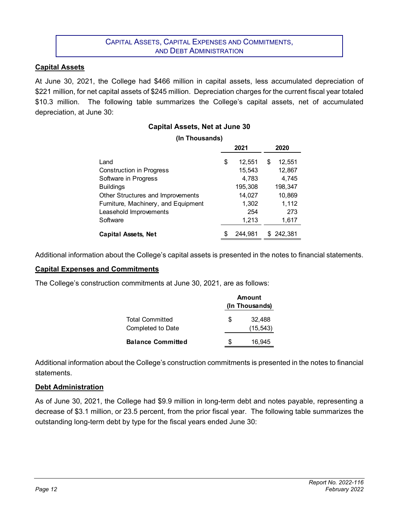#### CAPITAL ASSETS, CAPITAL EXPENSES AND COMMITMENTS, AND DEBT ADMINISTRATION

### **Capital Assets**

At June 30, 2021, the College had \$466 million in capital assets, less accumulated depreciation of \$221 million, for net capital assets of \$245 million. Depreciation charges for the current fiscal year totaled \$10.3 million. The following table summarizes the College's capital assets, net of accumulated depreciation, at June 30:

#### **Capital Assets, Net at June 30**

#### **(In Thousands)**

|                                                                 | 2021 |                           |                                 |  | 2020 |
|-----------------------------------------------------------------|------|---------------------------|---------------------------------|--|------|
| Land<br><b>Construction in Progress</b><br>Software in Progress | \$   | 12,551<br>15,543<br>4,783 | \$<br>12,551<br>12,867<br>4,745 |  |      |
| <b>Buildings</b><br>Other Structures and Improvements           |      | 195,308<br>14,027         | 198,347<br>10,869               |  |      |
| Furniture, Machinery, and Equipment<br>Leasehold Improvements   |      | 1,302<br>254              | 1,112<br>273                    |  |      |
| Software<br><b>Capital Assets, Net</b>                          | S    | 1,213<br>244.981          | 1,617<br>\$242,381              |  |      |

Additional information about the College's capital assets is presented in the notes to financial statements.

#### **Capital Expenses and Commitments**

The College's construction commitments at June 30, 2021, are as follows:

|                                             | Amount<br>(In Thousands) |                     |  |
|---------------------------------------------|--------------------------|---------------------|--|
| <b>Total Committed</b><br>Completed to Date | \$                       | 32,488<br>(15, 543) |  |
| <b>Balance Committed</b>                    | S                        | 16,945              |  |

Additional information about the College's construction commitments is presented in the notes to financial statements.

#### **Debt Administration**

As of June 30, 2021, the College had \$9.9 million in long-term debt and notes payable, representing a decrease of \$3.1 million, or 23.5 percent, from the prior fiscal year. The following table summarizes the outstanding long-term debt by type for the fiscal years ended June 30: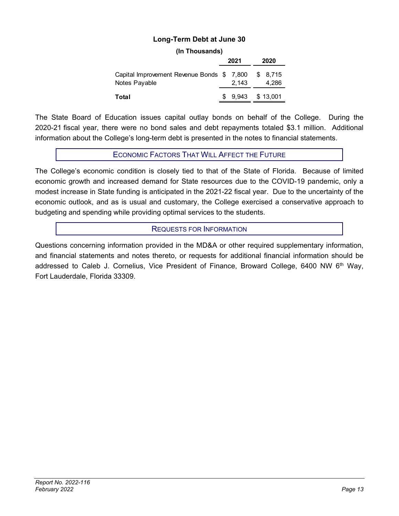## **Long-Term Debt at June 30**

#### **(In Thousands)**

|                                                            | 2021               | 2020              |
|------------------------------------------------------------|--------------------|-------------------|
| Capital Improvement Revenue Bonds \$7,800<br>Notes Payable | 2.143              | \$ 8.715<br>4,286 |
| Total                                                      | $$9,943$ $$13,001$ |                   |

The State Board of Education issues capital outlay bonds on behalf of the College. During the 2020-21 fiscal year, there were no bond sales and debt repayments totaled \$3.1 million. Additional information about the College's long-term debt is presented in the notes to financial statements.

#### ECONOMIC FACTORS THAT WILL AFFECT THE FUTURE

The College's economic condition is closely tied to that of the State of Florida. Because of limited economic growth and increased demand for State resources due to the COVID-19 pandemic, only a modest increase in State funding is anticipated in the 2021-22 fiscal year. Due to the uncertainty of the economic outlook, and as is usual and customary, the College exercised a conservative approach to budgeting and spending while providing optimal services to the students.

#### REQUESTS FOR INFORMATION

Questions concerning information provided in the MD&A or other required supplementary information, and financial statements and notes thereto, or requests for additional financial information should be addressed to Caleb J. Cornelius, Vice President of Finance, Broward College, 6400 NW 6<sup>th</sup> Way, Fort Lauderdale, Florida 33309.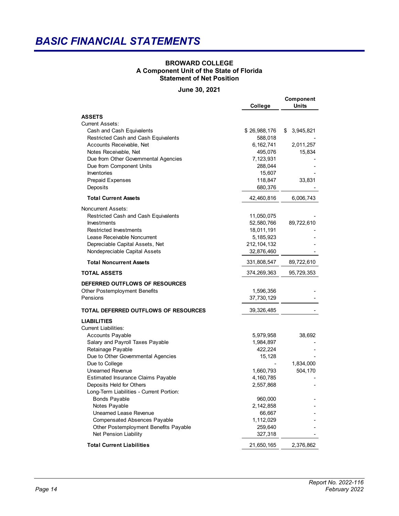## <span id="page-17-0"></span>*BASIC FINANCIAL STATEMENTS*

#### **BROWARD COLLEGE A Component Unit of the State of Florida Statement of Net Position**

#### **June 30, 2021**

|                                                                | College            | Component<br>Units |
|----------------------------------------------------------------|--------------------|--------------------|
| <b>ASSETS</b>                                                  |                    |                    |
| <b>Current Assets:</b>                                         |                    |                    |
| Cash and Cash Equivalents                                      | \$26,988,176       | \$<br>3,945,821    |
| Restricted Cash and Cash Equivalents                           | 588,018            |                    |
| Accounts Receivable, Net                                       | 6, 162, 741        | 2,011,257          |
| Notes Receivable, Net                                          | 495,076            | 15,834             |
| Due from Other Governmental Agencies                           | 7,123,931          |                    |
| Due from Component Units                                       | 288,044            |                    |
| Inventories                                                    | 15,607             |                    |
| <b>Prepaid Expenses</b><br>Deposits                            | 118,847<br>680,376 | 33,831             |
|                                                                |                    |                    |
| <b>Total Current Assets</b>                                    | 42,460,816         | 6,006,743          |
| Noncurrent Assets:                                             |                    |                    |
| Restricted Cash and Cash Equivalents                           | 11,050,075         |                    |
| Investments                                                    | 52,580,766         | 89,722,610         |
| <b>Restricted Investments</b>                                  | 18,011,191         |                    |
| Lease Receivable Noncurrent                                    | 5, 185, 923        |                    |
| Depreciable Capital Assets, Net                                | 212, 104, 132      |                    |
| Nondepreciable Capital Assets                                  | 32,876,460         |                    |
| <b>Total Noncurrent Assets</b>                                 | 331,808,547        | 89,722,610         |
| <b>TOTAL ASSETS</b>                                            | 374,269,363        | 95,729,353         |
| DEFERRED OUTFLOWS OF RESOURCES                                 |                    |                    |
| <b>Other Postemployment Benefits</b>                           | 1,596,356          |                    |
| Pensions                                                       | 37,730,129         |                    |
| TOTAL DEFERRED OUTFLOWS OF RESOURCES                           | 39,326,485         |                    |
| <b>LIABILITIES</b>                                             |                    |                    |
| <b>Current Liabilities:</b>                                    |                    |                    |
| <b>Accounts Payable</b>                                        | 5,979,958          | 38,692             |
| Salary and Payroll Taxes Payable                               | 1,984,897          |                    |
| Retainage Payable                                              | 422,224            |                    |
| Due to Other Governmental Agencies                             | 15,128             |                    |
| Due to College                                                 |                    | 1,834,000          |
| Unearned Revenue                                               | 1,660,793          | 504,170            |
| <b>Estimated Insurance Claims Payable</b>                      | 4,160,785          |                    |
| Deposits Held for Others                                       | 2,557,868          |                    |
| Long-Term Liabilities - Current Portion:                       |                    |                    |
| <b>Bonds Payable</b>                                           | 960,000            |                    |
| Notes Payable                                                  | 2,142,858          |                    |
| Unearned Lease Revenue                                         | 66,667             |                    |
| <b>Compensated Absences Payable</b>                            | 1,112,029          |                    |
| Other Postemployment Benefits Payable<br>Net Pension Liability | 259,640<br>327,318 |                    |
|                                                                |                    |                    |
| <b>Total Current Liabilities</b>                               | 21,650,165         | 2,376,862          |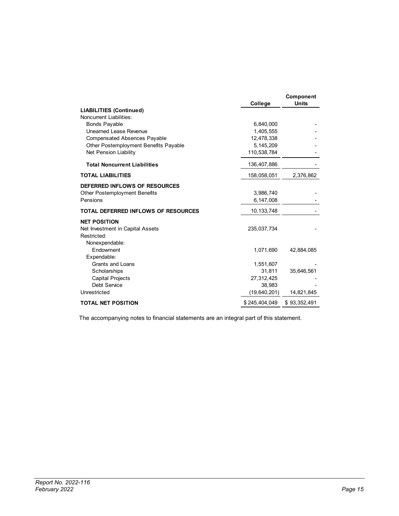|                                       |                | Component    |
|---------------------------------------|----------------|--------------|
|                                       | College        | <b>Units</b> |
| <b>LIABILITIES (Continued)</b>        |                |              |
| Noncurrent Liabilities:               |                |              |
| <b>Bonds Payable</b>                  | 6,840,000      |              |
| <b>Unearned Lease Revenue</b>         | 1,405,555      |              |
| <b>Compensated Absences Payable</b>   | 12,478,338     |              |
| Other Postemployment Benefits Payable | 5,145,209      |              |
| Net Pension Liability                 | 110,538,784    |              |
| <b>Total Noncurrent Liabilities</b>   | 136,407,886    |              |
| <b>TOTAL LIABILITIES</b>              | 158,058,051    | 2,376,862    |
| DEFERRED INFLOWS OF RESOURCES         |                |              |
| <b>Other Postemployment Benefits</b>  | 3,986,740      |              |
| Pensions                              | 6,147,008      |              |
|                                       |                |              |
| TOTAL DEFERRED INFLOWS OF RESOURCES   | 10, 133, 748   |              |
| <b>NET POSITION</b>                   |                |              |
| Net Investment in Capital Assets      | 235,037,734    |              |
| Restricted:                           |                |              |
| Nonexpendable:                        |                |              |
| Endowment                             | 1,071,690      | 42,884,085   |
| Expendable:                           |                |              |
| Grants and Loans                      | 1,551,607      |              |
| Scholarships                          | 31,811         | 35,646,561   |
| <b>Capital Projects</b>               | 27,312,425     |              |
| Debt Service                          | 38,983         |              |
| Unrestricted                          | (19, 640, 201) | 14,821,845   |
| <b>TOTAL NET POSITION</b>             | \$245,404,049  | \$93,352,491 |

The accompanying notes to financial statements are an integral part of this statement.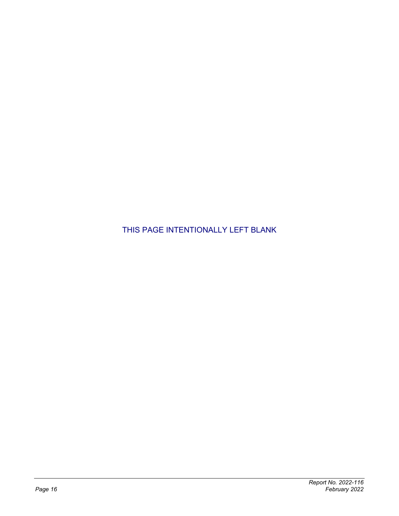THIS PAGE INTENTIONALLY LEFT BLANK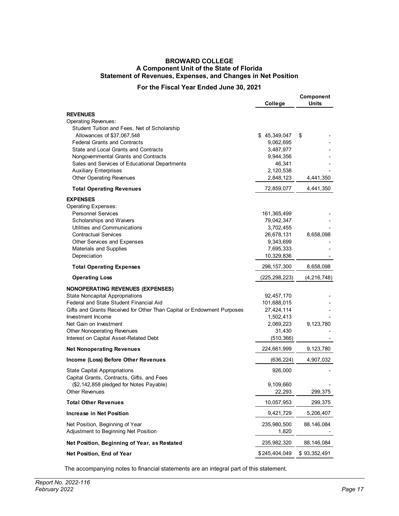#### **BROWARD COLLEGE A Component Unit of the State of Florida Statement of Revenues, Expenses, and Changes in Net Position**

#### **For the Fiscal Year Ended June 30, 2021**

<span id="page-20-0"></span>

|                                                                        |                 | Component     |
|------------------------------------------------------------------------|-----------------|---------------|
|                                                                        | College         | <b>Units</b>  |
| <b>REVENUES</b>                                                        |                 |               |
| <b>Operating Revenues:</b>                                             |                 |               |
| Student Tuition and Fees, Net of Scholarship                           |                 |               |
| Allowances of \$37,067,548                                             | \$45,349,047    | \$            |
| <b>Federal Grants and Contracts</b>                                    | 9,062,695       |               |
| State and Local Grants and Contracts                                   | 3,487,977       |               |
| Nongovernmental Grants and Contracts                                   | 9,944,356       |               |
| Sales and Services of Educational Departments                          | 46,341          |               |
| <b>Auxiliary Enterprises</b>                                           | 2,120,538       |               |
| <b>Other Operating Revenues</b>                                        | 2,848,123       | 4,441,350     |
| <b>Total Operating Revenues</b>                                        | 72,859,077      | 4,441,350     |
|                                                                        |                 |               |
| <b>EXPENSES</b>                                                        |                 |               |
| <b>Operating Expenses:</b>                                             |                 |               |
| <b>Personnel Services</b>                                              | 161,365,499     |               |
| Scholarships and Waivers                                               | 79,042,347      |               |
| Utilities and Communications                                           | 3,702,455       |               |
| <b>Contractual Services</b>                                            | 26,678,131      | 8,658,098     |
| Other Services and Expenses                                            | 9,343,699       |               |
| <b>Materials and Supplies</b>                                          | 7,695,333       |               |
| Depreciation                                                           | 10,329,836      |               |
| <b>Total Operating Expenses</b>                                        | 298, 157, 300   | 8,658,098     |
| <b>Operating Loss</b>                                                  | (225, 298, 223) | (4, 216, 748) |
| <b>NONOPERATING REVENUES (EXPENSES)</b>                                |                 |               |
| <b>State Noncapital Appropriations</b>                                 | 92,457,170      |               |
| Federal and State Student Financial Aid                                | 101,688,015     |               |
| Gifts and Grants Received for Other Than Capital or Endowment Purposes | 27,424,114      |               |
| Investment Income                                                      | 1,502,413       |               |
| Net Gain on Investment                                                 | 2,069,223       | 9,123,780     |
| <b>Other Nonoperating Revenues</b>                                     | 31,430          |               |
| Interest on Capital Asset-Related Debt                                 | (510, 366)      |               |
| <b>Net Nonoperating Revenues</b>                                       | 224,661,999     | 9,123,780     |
| Income (Loss) Before Other Revenues                                    | (636, 224)      | 4,907,032     |
| <b>State Capital Appropriations</b>                                    | 926,000         |               |
| Capital Grants, Contracts, Gifts, and Fees                             |                 |               |
| (\$2,142,858 pledged for Notes Payable)                                | 9,109,660       |               |
| <b>Other Revenues</b>                                                  | 22,293          | 299,375       |
| <b>Total Other Revenues</b>                                            | 10,057,953      | 299,375       |
| <b>Increase in Net Position</b>                                        | 9,421,729       | 5,206,407     |
|                                                                        |                 |               |
| Net Position, Beginning of Year                                        | 235,980,500     | 88,146,084    |
| Adjustment to Beginning Net Position                                   | 1,820           |               |
| Net Position, Beginning of Year, as Restated                           | 235,982,320     | 88,146,084    |
| Net Position, End of Year                                              | \$245,404,049   | \$93,352,491  |

The accompanying notes to financial statements are an integral part of this statement.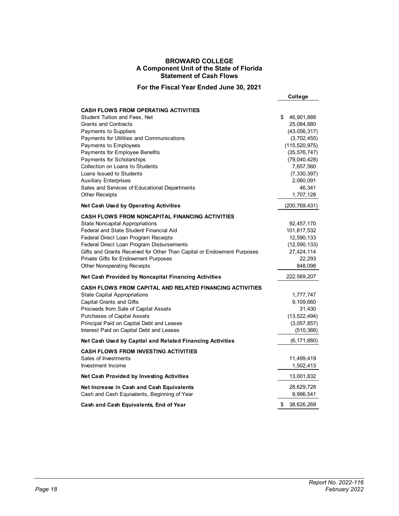#### **BROWARD COLLEGE A Component Unit of the State of Florida Statement of Cash Flows**

#### **For the Fiscal Year Ended June 30, 2021**

<span id="page-21-0"></span>

|                                                                                                                                                                                                                                                                                                                                                                                                                                         | College                                                                                                                                                                 |
|-----------------------------------------------------------------------------------------------------------------------------------------------------------------------------------------------------------------------------------------------------------------------------------------------------------------------------------------------------------------------------------------------------------------------------------------|-------------------------------------------------------------------------------------------------------------------------------------------------------------------------|
|                                                                                                                                                                                                                                                                                                                                                                                                                                         |                                                                                                                                                                         |
| <b>CASH FLOWS FROM OPERATING ACTIVITIES</b><br><b>Student Tuition and Fees, Net</b><br><b>Grants and Contracts</b><br><b>Payments to Suppliers</b><br>Payments for Utilities and Communications<br>Payments to Employees<br>Payments for Employee Benefits<br>Payments for Scholarships<br>Collection on Loans to Students<br>Loans Issued to Students<br><b>Auxiliary Enterprises</b><br>Sales and Services of Educational Departments | \$<br>46,901,888<br>25,084,880<br>(43,056,317)<br>(3,702,455)<br>(115, 520, 975)<br>(35, 576, 747)<br>(79,040,428)<br>7,657,560<br>(7, 330, 397)<br>2,060,091<br>46,341 |
| <b>Other Receipts</b>                                                                                                                                                                                                                                                                                                                                                                                                                   | 1,707,128                                                                                                                                                               |
| <b>Net Cash Used by Operating Activities</b>                                                                                                                                                                                                                                                                                                                                                                                            | (200,769,431)                                                                                                                                                           |
| <b>CASH FLOWS FROM NONCAPITAL FINANCING ACTIVITIES</b><br><b>State Noncapital Appropriations</b><br>Federal and State Student Financial Aid<br>Federal Direct Loan Program Receipts<br>Federal Direct Loan Program Disbursements<br>Gifts and Grants Received for Other Than Capital or Endowment Purposes<br><b>Private Gifts for Endowment Purposes</b><br><b>Other Nonoperating Receipts</b>                                         | 92,457,170<br>101,817,532<br>12,590,133<br>(12, 590, 133)<br>27,424,114<br>22,293<br>848,098                                                                            |
| Net Cash Provided by Noncapital Financing Activities                                                                                                                                                                                                                                                                                                                                                                                    | 222,569,207                                                                                                                                                             |
| <b>CASH FLOWS FROM CAPITAL AND RELATED FINANCING ACTIVITIES</b><br><b>State Capital Appropriations</b><br>Capital Grants and Gifts<br>Proceeds from Sale of Capital Assets<br>Purchases of Capital Assets<br>Principal Paid on Capital Debt and Leases<br>Interest Paid on Capital Debt and Leases                                                                                                                                      | 1,777,747<br>9,109,660<br>31,430<br>(13, 522, 494)<br>(3,057,857)<br>(510, 366)                                                                                         |
| Net Cash Used by Capital and Related Financing Activities                                                                                                                                                                                                                                                                                                                                                                               | (6, 171, 880)                                                                                                                                                           |
| <b>CASH FLOWS FROM INVESTING ACTIVITIES</b><br>Sales of Investments<br>Investment Income                                                                                                                                                                                                                                                                                                                                                | 11,499,419<br>1,502,413                                                                                                                                                 |
| Net Cash Provided by Investing Activities                                                                                                                                                                                                                                                                                                                                                                                               | 13,001,832                                                                                                                                                              |
| Net Increase in Cash and Cash Equivalents<br>Cash and Cash Equivalents, Beginning of Year                                                                                                                                                                                                                                                                                                                                               | 28,629,728<br>9,996,541                                                                                                                                                 |
| Cash and Cash Equivalents, End of Year                                                                                                                                                                                                                                                                                                                                                                                                  | 38,626,269<br>\$                                                                                                                                                        |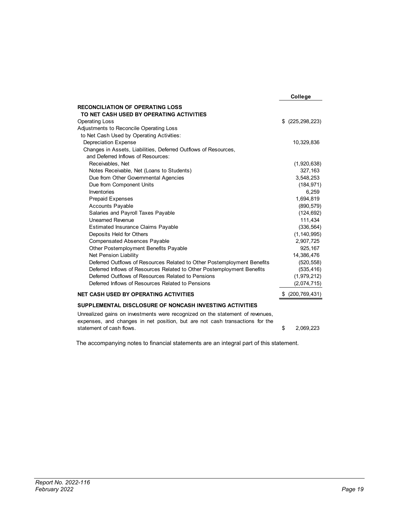|                                                                               |    | <b>College</b>     |
|-------------------------------------------------------------------------------|----|--------------------|
| <b>RECONCILIATION OF OPERATING LOSS</b>                                       |    |                    |
| TO NET CASH USED BY OPERATING ACTIVITIES                                      |    |                    |
| <b>Operating Loss</b>                                                         | S. | (225, 298, 223)    |
| Adjustments to Reconcile Operating Loss                                       |    |                    |
| to Net Cash Used by Operating Activities:                                     |    |                    |
| <b>Depreciation Expense</b>                                                   |    | 10,329,836         |
| Changes in Assets, Liabilities, Deferred Outflows of Resources,               |    |                    |
| and Deferred Inflows of Resources:                                            |    |                    |
| Receivables, Net                                                              |    | (1,920,638)        |
| Notes Receivable, Net (Loans to Students)                                     |    | 327,163            |
| Due from Other Governmental Agencies                                          |    | 3,548,253          |
| Due from Component Units                                                      |    | (184, 971)         |
| Inventories                                                                   |    | 6,259              |
| Prepaid Expenses                                                              |    | 1,694,819          |
| <b>Accounts Payable</b>                                                       |    | (890, 579)         |
| Salaries and Payroll Taxes Payable                                            |    | (124, 692)         |
| <b>Unearned Revenue</b>                                                       |    | 111,434            |
| <b>Estimated Insurance Claims Payable</b>                                     |    | (336, 564)         |
| Deposits Held for Others                                                      |    | (1, 140, 995)      |
| <b>Compensated Absences Payable</b>                                           |    | 2,907,725          |
| Other Postemployment Benefits Payable                                         |    | 925,167            |
| Net Pension Liability                                                         |    | 14,386,476         |
| Deferred Outflows of Resources Related to Other Postemployment Benefits       |    | (520, 558)         |
| Deferred Inflows of Resources Related to Other Postemployment Benefits        |    | (535, 416)         |
| Deferred Outflows of Resources Related to Pensions                            |    | (1,979,212)        |
| Deferred Inflows of Resources Related to Pensions                             |    | (2,074,715)        |
| <b>NET CASH USED BY OPERATING ACTIVITIES</b>                                  |    | \$ (200, 769, 431) |
| SUPPLEMENTAL DISCLOSURE OF NONCASH INVESTING ACTIVITIES                       |    |                    |
| Unrealized gains on investments were recognized on the statement of revenues, |    |                    |
| expenses, and changes in net position, but are not cash transactions for the  |    |                    |
| statement of cash flows.                                                      | \$ | 2,069,223          |

The accompanying notes to financial statements are an integral part of this statement.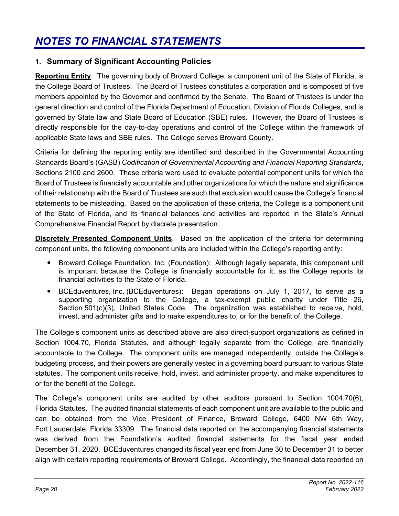## <span id="page-23-0"></span>*NOTES TO FINANCIAL STATEMENTS*

## **1. Summary of Significant Accounting Policies**

**Reporting Entity**. The governing body of Broward College, a component unit of the State of Florida, is the College Board of Trustees. The Board of Trustees constitutes a corporation and is composed of five members appointed by the Governor and confirmed by the Senate. The Board of Trustees is under the general direction and control of the Florida Department of Education, Division of Florida Colleges, and is governed by State law and State Board of Education (SBE) rules. However, the Board of Trustees is directly responsible for the day-to-day operations and control of the College within the framework of applicable State laws and SBE rules. The College serves Broward County.

Criteria for defining the reporting entity are identified and described in the Governmental Accounting Standards Board's (GASB) *Codification of Governmental Accounting and Financial Reporting Standards*, Sections 2100 and 2600. These criteria were used to evaluate potential component units for which the Board of Trustees is financially accountable and other organizations for which the nature and significance of their relationship with the Board of Trustees are such that exclusion would cause the College's financial statements to be misleading. Based on the application of these criteria, the College is a component unit of the State of Florida, and its financial balances and activities are reported in the State's Annual Comprehensive Financial Report by discrete presentation.

**Discretely Presented Component Units**. Based on the application of the criteria for determining component units, the following component units are included within the College's reporting entity:

- Broward College Foundation, Inc. (Foundation): Although legally separate, this component unit is important because the College is financially accountable for it, as the College reports its financial activities to the State of Florida.
- BCEduventures, Inc. (BCEduventures): Began operations on July 1, 2017, to serve as a supporting organization to the College, a tax-exempt public charity under Title 26, Section 501(c)(3), United States Code. The organization was established to receive, hold, invest, and administer gifts and to make expenditures to, or for the benefit of, the College.

The College's component units as described above are also direct-support organizations as defined in Section 1004.70, Florida Statutes, and although legally separate from the College, are financially accountable to the College. The component units are managed independently, outside the College's budgeting process, and their powers are generally vested in a governing board pursuant to various State statutes. The component units receive, hold, invest, and administer property, and make expenditures to or for the benefit of the College.

The College's component units are audited by other auditors pursuant to Section 1004.70(6), Florida Statutes. The audited financial statements of each component unit are available to the public and can be obtained from the Vice President of Finance, Broward College, 6400 NW 6th Way, Fort Lauderdale, Florida 33309. The financial data reported on the accompanying financial statements was derived from the Foundation's audited financial statements for the fiscal year ended December 31, 2020. BCEduventures changed its fiscal year end from June 30 to December 31 to better align with certain reporting requirements of Broward College. Accordingly, the financial data reported on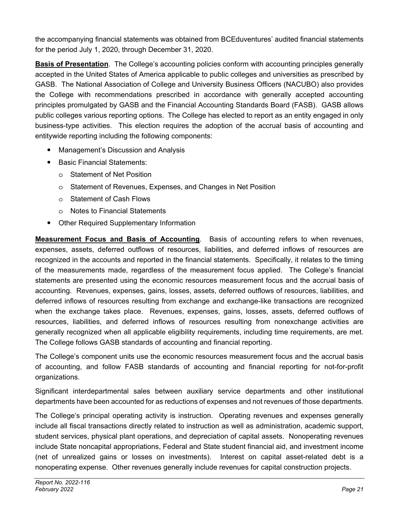the accompanying financial statements was obtained from BCEduventures' audited financial statements for the period July 1, 2020, through December 31, 2020.

**Basis of Presentation**. The College's accounting policies conform with accounting principles generally accepted in the United States of America applicable to public colleges and universities as prescribed by GASB. The National Association of College and University Business Officers (NACUBO) also provides the College with recommendations prescribed in accordance with generally accepted accounting principles promulgated by GASB and the Financial Accounting Standards Board (FASB). GASB allows public colleges various reporting options. The College has elected to report as an entity engaged in only business-type activities. This election requires the adoption of the accrual basis of accounting and entitywide reporting including the following components:

- Management's Discussion and Analysis
- Basic Financial Statements:
	- o Statement of Net Position
	- o Statement of Revenues, Expenses, and Changes in Net Position
	- o Statement of Cash Flows
	- o Notes to Financial Statements
- Other Required Supplementary Information

**Measurement Focus and Basis of Accounting**. Basis of accounting refers to when revenues, expenses, assets, deferred outflows of resources, liabilities, and deferred inflows of resources are recognized in the accounts and reported in the financial statements. Specifically, it relates to the timing of the measurements made, regardless of the measurement focus applied. The College's financial statements are presented using the economic resources measurement focus and the accrual basis of accounting. Revenues, expenses, gains, losses, assets, deferred outflows of resources, liabilities, and deferred inflows of resources resulting from exchange and exchange-like transactions are recognized when the exchange takes place. Revenues, expenses, gains, losses, assets, deferred outflows of resources, liabilities, and deferred inflows of resources resulting from nonexchange activities are generally recognized when all applicable eligibility requirements, including time requirements, are met. The College follows GASB standards of accounting and financial reporting.

The College's component units use the economic resources measurement focus and the accrual basis of accounting, and follow FASB standards of accounting and financial reporting for not-for-profit organizations.

Significant interdepartmental sales between auxiliary service departments and other institutional departments have been accounted for as reductions of expenses and not revenues of those departments.

The College's principal operating activity is instruction. Operating revenues and expenses generally include all fiscal transactions directly related to instruction as well as administration, academic support, student services, physical plant operations, and depreciation of capital assets. Nonoperating revenues include State noncapital appropriations, Federal and State student financial aid, and investment income (net of unrealized gains or losses on investments). Interest on capital asset-related debt is a nonoperating expense. Other revenues generally include revenues for capital construction projects.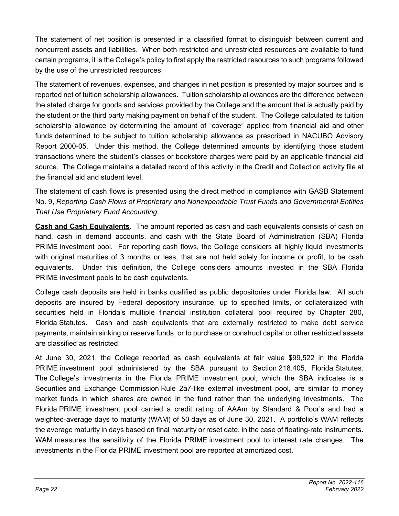The statement of net position is presented in a classified format to distinguish between current and noncurrent assets and liabilities. When both restricted and unrestricted resources are available to fund certain programs, it is the College's policy to first apply the restricted resources to such programs followed by the use of the unrestricted resources.

The statement of revenues, expenses, and changes in net position is presented by major sources and is reported net of tuition scholarship allowances. Tuition scholarship allowances are the difference between the stated charge for goods and services provided by the College and the amount that is actually paid by the student or the third party making payment on behalf of the student. The College calculated its tuition scholarship allowance by determining the amount of "coverage" applied from financial aid and other funds determined to be subject to tuition scholarship allowance as prescribed in NACUBO Advisory Report 2000-05. Under this method, the College determined amounts by identifying those student transactions where the student's classes or bookstore charges were paid by an applicable financial aid source. The College maintains a detailed record of this activity in the Credit and Collection activity file at the financial aid and student level.

The statement of cash flows is presented using the direct method in compliance with GASB Statement No. 9, *Reporting Cash Flows of Proprietary and Nonexpendable Trust Funds and Governmental Entities That Use Proprietary Fund Accounting*.

**Cash and Cash Equivalents**. The amount reported as cash and cash equivalents consists of cash on hand, cash in demand accounts, and cash with the State Board of Administration (SBA) Florida PRIME investment pool. For reporting cash flows, the College considers all highly liquid investments with original maturities of 3 months or less, that are not held solely for income or profit, to be cash equivalents. Under this definition, the College considers amounts invested in the SBA Florida PRIME investment pools to be cash equivalents.

College cash deposits are held in banks qualified as public depositories under Florida law. All such deposits are insured by Federal depository insurance, up to specified limits, or collateralized with securities held in Florida's multiple financial institution collateral pool required by Chapter 280, Florida Statutes. Cash and cash equivalents that are externally restricted to make debt service payments, maintain sinking or reserve funds, or to purchase or construct capital or other restricted assets are classified as restricted.

At June 30, 2021, the College reported as cash equivalents at fair value \$99,522 in the Florida PRIME investment pool administered by the SBA pursuant to Section 218.405, Florida Statutes. The College's investments in the Florida PRIME investment pool, which the SBA indicates is a Securities and Exchange Commission Rule 2a7-like external investment pool, are similar to money market funds in which shares are owned in the fund rather than the underlying investments. The Florida PRIME investment pool carried a credit rating of AAAm by Standard & Poor's and had a weighted-average days to maturity (WAM) of 50 days as of June 30, 2021. A portfolio's WAM reflects the average maturity in days based on final maturity or reset date, in the case of floating-rate instruments. WAM measures the sensitivity of the Florida PRIME investment pool to interest rate changes. The investments in the Florida PRIME investment pool are reported at amortized cost.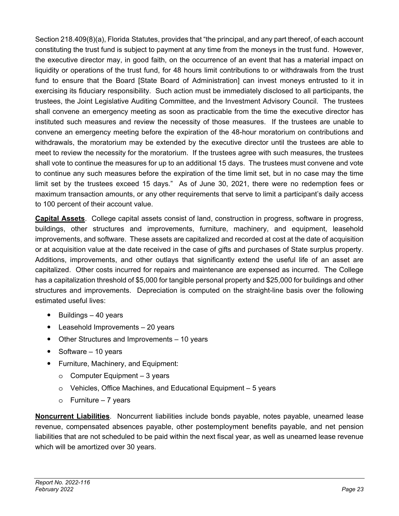Section 218.409(8)(a), Florida Statutes, provides that "the principal, and any part thereof, of each account constituting the trust fund is subject to payment at any time from the moneys in the trust fund. However, the executive director may, in good faith, on the occurrence of an event that has a material impact on liquidity or operations of the trust fund, for 48 hours limit contributions to or withdrawals from the trust fund to ensure that the Board [State Board of Administration] can invest moneys entrusted to it in exercising its fiduciary responsibility. Such action must be immediately disclosed to all participants, the trustees, the Joint Legislative Auditing Committee, and the Investment Advisory Council. The trustees shall convene an emergency meeting as soon as practicable from the time the executive director has instituted such measures and review the necessity of those measures. If the trustees are unable to convene an emergency meeting before the expiration of the 48-hour moratorium on contributions and withdrawals, the moratorium may be extended by the executive director until the trustees are able to meet to review the necessity for the moratorium. If the trustees agree with such measures, the trustees shall vote to continue the measures for up to an additional 15 days. The trustees must convene and vote to continue any such measures before the expiration of the time limit set, but in no case may the time limit set by the trustees exceed 15 days." As of June 30, 2021, there were no redemption fees or maximum transaction amounts, or any other requirements that serve to limit a participant's daily access to 100 percent of their account value.

**Capital Assets**. College capital assets consist of land, construction in progress, software in progress, buildings, other structures and improvements, furniture, machinery, and equipment, leasehold improvements, and software. These assets are capitalized and recorded at cost at the date of acquisition or at acquisition value at the date received in the case of gifts and purchases of State surplus property. Additions, improvements, and other outlays that significantly extend the useful life of an asset are capitalized. Other costs incurred for repairs and maintenance are expensed as incurred. The College has a capitalization threshold of \$5,000 for tangible personal property and \$25,000 for buildings and other structures and improvements. Depreciation is computed on the straight-line basis over the following estimated useful lives:

- $\bullet$  Buildings 40 years
- Leasehold Improvements 20 years
- Other Structures and Improvements 10 years
- $\bullet$  Software 10 years
- Furniture, Machinery, and Equipment:
	- $\circ$  Computer Equipment 3 years
	- o Vehicles, Office Machines, and Educational Equipment 5 years
	- $\circ$  Furniture 7 years

**Noncurrent Liabilities**. Noncurrent liabilities include bonds payable, notes payable, unearned lease revenue, compensated absences payable, other postemployment benefits payable, and net pension liabilities that are not scheduled to be paid within the next fiscal year, as well as unearned lease revenue which will be amortized over 30 years.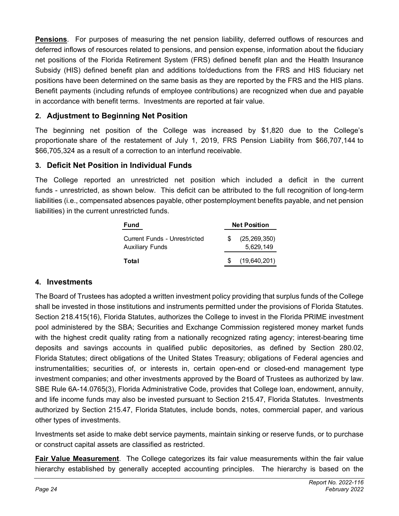**Pensions**. For purposes of measuring the net pension liability, deferred outflows of resources and deferred inflows of resources related to pensions, and pension expense, information about the fiduciary net positions of the Florida Retirement System (FRS) defined benefit plan and the Health Insurance Subsidy (HIS) defined benefit plan and additions to/deductions from the FRS and HIS fiduciary net positions have been determined on the same basis as they are reported by the FRS and the HIS plans. Benefit payments (including refunds of employee contributions) are recognized when due and payable in accordance with benefit terms. Investments are reported at fair value.

## **2. Adjustment to Beginning Net Position**

The beginning net position of the College was increased by \$1,820 due to the College's proportionate share of the restatement of July 1, 2019, FRS Pension Liability from \$66,707,144 to \$66,705,324 as a result of a correction to an interfund receivable.

## **3. Deficit Net Position in Individual Funds**

The College reported an unrestricted net position which included a deficit in the current funds - unrestricted, as shown below. This deficit can be attributed to the full recognition of long-term liabilities (i.e., compensated absences payable, other postemployment benefits payable, and net pension liabilities) in the current unrestricted funds.

| Fund                                                          | <b>Net Position</b> |                             |  |  |
|---------------------------------------------------------------|---------------------|-----------------------------|--|--|
| <b>Current Funds - Unrestricted</b><br><b>Auxiliary Funds</b> |                     | (25, 269, 350)<br>5,629,149 |  |  |
| Total                                                         |                     | (19, 640, 201)              |  |  |

## **4. Investments**

The Board of Trustees has adopted a written investment policy providing that surplus funds of the College shall be invested in those institutions and instruments permitted under the provisions of Florida Statutes. Section 218.415(16), Florida Statutes, authorizes the College to invest in the Florida PRIME investment pool administered by the SBA; Securities and Exchange Commission registered money market funds with the highest credit quality rating from a nationally recognized rating agency; interest-bearing time deposits and savings accounts in qualified public depositories, as defined by Section 280.02, Florida Statutes; direct obligations of the United States Treasury; obligations of Federal agencies and instrumentalities; securities of, or interests in, certain open-end or closed-end management type investment companies; and other investments approved by the Board of Trustees as authorized by law. SBE Rule 6A-14.0765(3), Florida Administrative Code, provides that College loan, endowment, annuity, and life income funds may also be invested pursuant to Section 215.47, Florida Statutes. Investments authorized by Section 215.47, Florida Statutes, include bonds, notes, commercial paper, and various other types of investments.

Investments set aside to make debt service payments, maintain sinking or reserve funds, or to purchase or construct capital assets are classified as restricted.

**Fair Value Measurement**. The College categorizes its fair value measurements within the fair value hierarchy established by generally accepted accounting principles. The hierarchy is based on the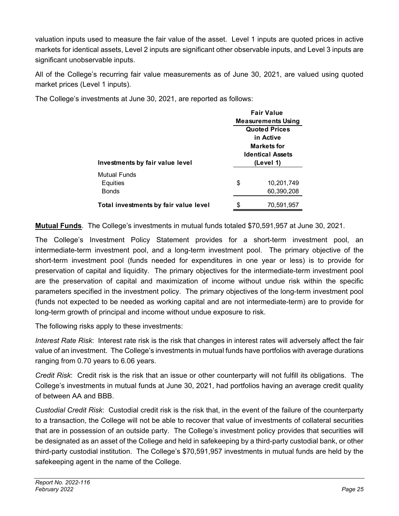valuation inputs used to measure the fair value of the asset. Level 1 inputs are quoted prices in active markets for identical assets, Level 2 inputs are significant other observable inputs, and Level 3 inputs are significant unobservable inputs.

All of the College's recurring fair value measurements as of June 30, 2021, are valued using quoted market prices (Level 1 inputs).

The College's investments at June 30, 2021, are reported as follows:

|                                       | <b>Fair Value</b>         |            |  |
|---------------------------------------|---------------------------|------------|--|
|                                       | <b>Measurements Using</b> |            |  |
|                                       | <b>Quoted Prices</b>      |            |  |
|                                       |                           | in Active  |  |
|                                       | <b>Markets for</b>        |            |  |
|                                       | <b>Identical Assets</b>   |            |  |
| Investments by fair value level       | (Level 1)                 |            |  |
| <b>Mutual Funds</b>                   |                           |            |  |
| Equities                              | \$<br>10,201,749          |            |  |
| <b>Bonds</b>                          |                           | 60,390,208 |  |
| Total investments by fair value level | \$                        | 70,591,957 |  |

**Mutual Funds**. The College's investments in mutual funds totaled \$70,591,957 at June 30, 2021.

The College's Investment Policy Statement provides for a short-term investment pool, an intermediate-term investment pool, and a long-term investment pool. The primary objective of the short-term investment pool (funds needed for expenditures in one year or less) is to provide for preservation of capital and liquidity. The primary objectives for the intermediate-term investment pool are the preservation of capital and maximization of income without undue risk within the specific parameters specified in the investment policy. The primary objectives of the long-term investment pool (funds not expected to be needed as working capital and are not intermediate-term) are to provide for long-term growth of principal and income without undue exposure to risk.

The following risks apply to these investments:

*Interest Rate Risk*: Interest rate risk is the risk that changes in interest rates will adversely affect the fair value of an investment. The College's investments in mutual funds have portfolios with average durations ranging from 0.70 years to 6.06 years.

*Credit Risk*: Credit risk is the risk that an issue or other counterparty will not fulfill its obligations. The College's investments in mutual funds at June 30, 2021, had portfolios having an average credit quality of between AA and BBB.

*Custodial Credit Risk*: Custodial credit risk is the risk that, in the event of the failure of the counterparty to a transaction, the College will not be able to recover that value of investments of collateral securities that are in possession of an outside party. The College's investment policy provides that securities will be designated as an asset of the College and held in safekeeping by a third-party custodial bank, or other third-party custodial institution. The College's \$70,591,957 investments in mutual funds are held by the safekeeping agent in the name of the College.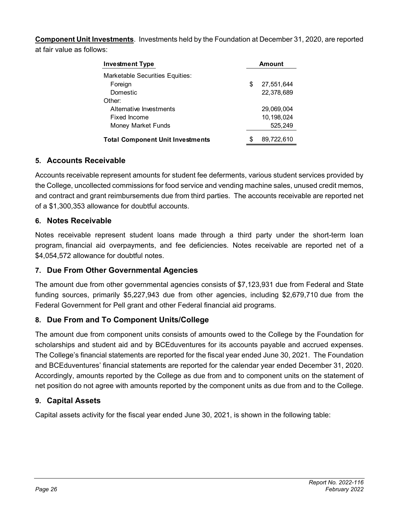**Component Unit Investments**. Investments held by the Foundation at December 31, 2020, are reported at fair value as follows:

| <b>Investment Type</b>                  |    | Amount     |  |  |
|-----------------------------------------|----|------------|--|--|
| Marketable Securities Equities:         |    |            |  |  |
| Foreign                                 | \$ | 27,551,644 |  |  |
| Domestic                                |    | 22,378,689 |  |  |
| Other:                                  |    |            |  |  |
| Alternative Investments                 |    | 29.069.004 |  |  |
| Fixed Income                            |    | 10,198,024 |  |  |
| Money Market Funds                      |    | 525,249    |  |  |
| <b>Total Component Unit Investments</b> | S  | 89.722.610 |  |  |

## **5. Accounts Receivable**

Accounts receivable represent amounts for student fee deferments, various student services provided by the College, uncollected commissions for food service and vending machine sales, unused credit memos, and contract and grant reimbursements due from third parties. The accounts receivable are reported net of a \$1,300,353 allowance for doubtful accounts.

## **6. Notes Receivable**

Notes receivable represent student loans made through a third party under the short-term loan program, financial aid overpayments, and fee deficiencies. Notes receivable are reported net of a \$4,054,572 allowance for doubtful notes.

## **7. Due From Other Governmental Agencies**

The amount due from other governmental agencies consists of \$7,123,931 due from Federal and State funding sources, primarily \$5,227,943 due from other agencies, including \$2,679,710 due from the Federal Government for Pell grant and other Federal financial aid programs.

## **8. Due From and To Component Units/College**

The amount due from component units consists of amounts owed to the College by the Foundation for scholarships and student aid and by BCEduventures for its accounts payable and accrued expenses. The College's financial statements are reported for the fiscal year ended June 30, 2021. The Foundation and BCEduventures' financial statements are reported for the calendar year ended December 31, 2020. Accordingly, amounts reported by the College as due from and to component units on the statement of net position do not agree with amounts reported by the component units as due from and to the College.

## **9. Capital Assets**

Capital assets activity for the fiscal year ended June 30, 2021, is shown in the following table: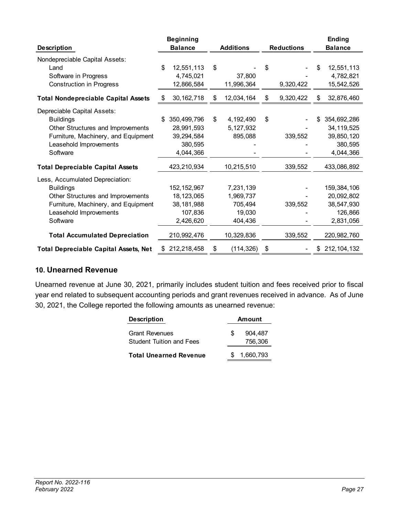| <b>Beginning</b>                             |     |                |                  |            |                   |           |     | Ending         |
|----------------------------------------------|-----|----------------|------------------|------------|-------------------|-----------|-----|----------------|
| <b>Description</b>                           |     | <b>Balance</b> | <b>Additions</b> |            | <b>Reductions</b> |           |     | <b>Balance</b> |
| Nondepreciable Capital Assets:               |     |                |                  |            |                   |           |     |                |
| Land                                         | \$. | 12,551,113     | \$               |            | \$                |           | \$  | 12,551,113     |
| Software in Progress                         |     | 4,745,021      |                  | 37,800     |                   |           |     | 4,782,821      |
| <b>Construction in Progress</b>              |     | 12,866,584     |                  | 11,996,364 |                   | 9,320,422 |     | 15,542,526     |
| <b>Total Nondepreciable Capital Assets</b>   | \$  | 30, 162, 718   | \$               | 12,034,164 | 9,320,422<br>\$   |           | \$  | 32,876,460     |
| Depreciable Capital Assets:                  |     |                |                  |            |                   |           |     |                |
| <b>Buildings</b>                             | \$  | 350,499,796    | \$               | 4,192,490  | \$                |           | \$. | 354,692,286    |
| Other Structures and Improvements            |     | 28,991,593     |                  | 5,127,932  |                   |           |     | 34, 119, 525   |
| Furniture, Machinery, and Equipment          |     | 39,294,584     |                  | 895,088    |                   | 339,552   |     | 39,850,120     |
| Leasehold Improvements                       |     | 380,595        |                  |            |                   |           |     | 380,595        |
| Software                                     |     | 4,044,366      |                  |            |                   |           |     | 4,044,366      |
| <b>Total Depreciable Capital Assets</b>      |     | 423,210,934    |                  | 10,215,510 |                   | 339,552   |     | 433,086,892    |
| Less, Accumulated Depreciation:              |     |                |                  |            |                   |           |     |                |
| <b>Buildings</b>                             |     | 152, 152, 967  |                  | 7,231,139  |                   |           |     | 159,384,106    |
| Other Structures and Improvements            |     | 18,123,065     |                  | 1,969,737  |                   |           |     | 20,092,802     |
| Furniture, Machinery, and Equipment          |     | 38,181,988     |                  | 705,494    |                   | 339,552   |     | 38,547,930     |
| Leasehold Improvements                       |     | 107,836        |                  | 19,030     |                   |           |     | 126,866        |
| Software                                     |     | 2,426,620      |                  | 404,436    |                   |           |     | 2,831,056      |
| <b>Total Accumulated Depreciation</b>        |     | 210,992,476    |                  | 10,329,836 |                   | 339,552   |     | 220,982,760    |
| <b>Total Depreciable Capital Assets, Net</b> | S   | 212,218,458    | P.               | (114, 326) | \$                |           | \$  | 212, 104, 132  |

## **10. Unearned Revenue**

Unearned revenue at June 30, 2021, primarily includes student tuition and fees received prior to fiscal year end related to subsequent accounting periods and grant revenues received in advance. As of June 30, 2021, the College reported the following amounts as unearned revenue:

| <b>Description</b>                                       | <b>Amount</b> |                    |  |  |
|----------------------------------------------------------|---------------|--------------------|--|--|
| <b>Grant Revenues</b><br><b>Student Tuition and Fees</b> | \$.           | 904.487<br>756,306 |  |  |
| <b>Total Unearned Revenue</b>                            |               | 1,660,793          |  |  |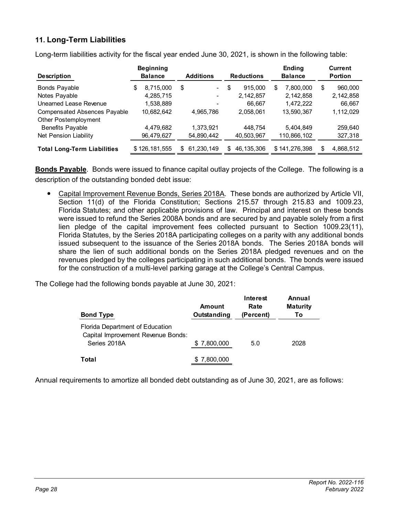## **11. Long-Term Liabilities**

| <b>Description</b>                  | <b>Beginning</b><br><b>Balance</b> |   | <b>Reductions</b><br><b>Additions</b> |     |              | <b>Ending</b><br><b>Balance</b> | <b>Current</b><br><b>Portion</b> |     |           |
|-------------------------------------|------------------------------------|---|---------------------------------------|-----|--------------|---------------------------------|----------------------------------|-----|-----------|
|                                     |                                    |   |                                       |     |              |                                 |                                  |     |           |
| <b>Bonds Payable</b>                | \$<br>8,715,000                    | S | $\overline{\phantom{0}}$              | \$  | 915,000      | S                               | 7,800,000                        | \$  | 960,000   |
| Notes Payable                       | 4,285,715                          |   |                                       |     | 2,142,857    |                                 | 2,142,858                        |     | 2,142,858 |
| Unearned Lease Revenue              | 1,538,889                          |   |                                       |     | 66,667       |                                 | 1,472,222                        |     | 66,667    |
| <b>Compensated Absences Payable</b> | 10,682,642                         |   | 4,965,786                             |     | 2,058,061    |                                 | 13,590,367                       |     | 1,112,029 |
| Other Postemployment                |                                    |   |                                       |     |              |                                 |                                  |     |           |
| <b>Benefits Payable</b>             | 4,479,682                          |   | 1,373,921                             |     | 448.754      |                                 | 5,404,849                        |     | 259,640   |
| Net Pension Liability               | 96,479,627                         |   | 54,890,442                            |     | 40,503,967   |                                 | 110,866,102                      |     | 327,318   |
| <b>Total Long-Term Liabilities</b>  | \$126,181,555                      | S | 61,230,149                            | \$. | 46, 135, 306 |                                 | \$141,276,398                    | \$. | 4,868,512 |

Long-term liabilities activity for the fiscal year ended June 30, 2021, is shown in the following table:

**Bonds Payable**. Bonds were issued to finance capital outlay projects of the College. The following is a description of the outstanding bonded debt issue:

 Capital Improvement Revenue Bonds, Series 2018A. These bonds are authorized by Article VII, Section 11(d) of the Florida Constitution; Sections 215.57 through 215.83 and 1009.23, Florida Statutes; and other applicable provisions of law. Principal and interest on these bonds were issued to refund the Series 2008A bonds and are secured by and payable solely from a first lien pledge of the capital improvement fees collected pursuant to Section 1009.23(11), Florida Statutes, by the Series 2018A participating colleges on a parity with any additional bonds issued subsequent to the issuance of the Series 2018A bonds. The Series 2018A bonds will share the lien of such additional bonds on the Series 2018A pledged revenues and on the revenues pledged by the colleges participating in such additional bonds. The bonds were issued for the construction of a multi-level parking garage at the College's Central Campus.

The College had the following bonds payable at June 30, 2021:

| <b>Bond Type</b>                                                                      | Amount<br>Outstanding | Interest<br>Rate<br>(Percent) | Annual<br><b>Maturity</b><br>То |
|---------------------------------------------------------------------------------------|-----------------------|-------------------------------|---------------------------------|
| Florida Department of Education<br>Capital Improvement Revenue Bonds:<br>Series 2018A | \$7,800,000           | 5.0                           | 2028                            |
| Total                                                                                 | \$7.800,000           |                               |                                 |

Annual requirements to amortize all bonded debt outstanding as of June 30, 2021, are as follows: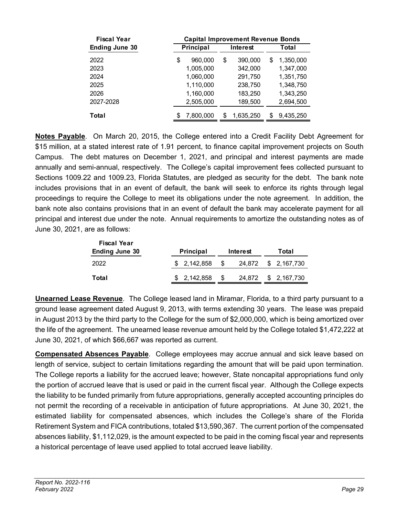| <b>Fiscal Year</b>    | <b>Capital Improvement Revenue Bonds</b> |                       |    |           |   |           |  |  |  |
|-----------------------|------------------------------------------|-----------------------|----|-----------|---|-----------|--|--|--|
| <b>Ending June 30</b> |                                          | Principal<br>Interest |    |           |   | Total     |  |  |  |
| 2022                  | \$                                       | 960,000               | \$ | 390,000   | S | 1,350,000 |  |  |  |
| 2023                  |                                          | 1,005,000             |    | 342,000   |   | 1,347,000 |  |  |  |
| 2024                  |                                          | 1,060,000             |    | 291,750   |   | 1,351,750 |  |  |  |
| 2025                  |                                          | 1,110,000             |    | 238,750   |   | 1,348,750 |  |  |  |
| 2026                  |                                          | 1,160,000             |    | 183,250   |   | 1,343,250 |  |  |  |
| 2027-2028             |                                          | 2,505,000             |    | 189,500   |   | 2,694,500 |  |  |  |
| Total                 | S.                                       | 7,800,000             | \$ | 1,635,250 | S | 9,435,250 |  |  |  |

**Notes Payable**. On March 20, 2015, the College entered into a Credit Facility Debt Agreement for \$15 million, at a stated interest rate of 1.91 percent, to finance capital improvement projects on South Campus. The debt matures on December 1, 2021, and principal and interest payments are made annually and semi-annual, respectively. The College's capital improvement fees collected pursuant to Sections 1009.22 and 1009.23, Florida Statutes, are pledged as security for the debt. The bank note includes provisions that in an event of default, the bank will seek to enforce its rights through legal proceedings to require the College to meet its obligations under the note agreement. In addition, the bank note also contains provisions that in an event of default the bank may accelerate payment for all principal and interest due under the note. Annual requirements to amortize the outstanding notes as of June 30, 2021, are as follows:

| <b>Fiscal Year</b><br><b>Ending June 30</b> | <b>Principal</b> | Interest | Total               |
|---------------------------------------------|------------------|----------|---------------------|
| 2022                                        | \$2,142,858      | - \$     | 24,872 \$ 2,167,730 |
| Total                                       | \$2,142,858      | -S       | 24,872 \$ 2,167,730 |

**Unearned Lease Revenue**. The College leased land in Miramar, Florida, to a third party pursuant to a ground lease agreement dated August 9, 2013, with terms extending 30 years. The lease was prepaid in August 2013 by the third party to the College for the sum of \$2,000,000, which is being amortized over the life of the agreement. The unearned lease revenue amount held by the College totaled \$1,472,222 at June 30, 2021, of which \$66,667 was reported as current.

**Compensated Absences Payable**. College employees may accrue annual and sick leave based on length of service, subject to certain limitations regarding the amount that will be paid upon termination. The College reports a liability for the accrued leave; however, State noncapital appropriations fund only the portion of accrued leave that is used or paid in the current fiscal year. Although the College expects the liability to be funded primarily from future appropriations, generally accepted accounting principles do not permit the recording of a receivable in anticipation of future appropriations. At June 30, 2021, the estimated liability for compensated absences, which includes the College's share of the Florida Retirement System and FICA contributions, totaled \$13,590,367. The current portion of the compensated absences liability, \$1,112,029, is the amount expected to be paid in the coming fiscal year and represents a historical percentage of leave used applied to total accrued leave liability.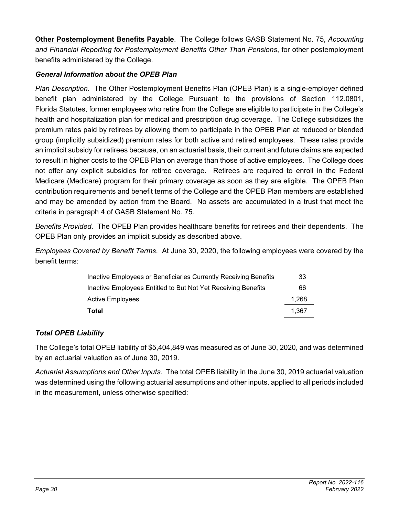**Other Postemployment Benefits Payable**. The College follows GASB Statement No. 75, *Accounting and Financial Reporting for Postemployment Benefits Other Than Pensions*, for other postemployment benefits administered by the College.

## *General Information about the OPEB Plan*

*Plan Description*. The Other Postemployment Benefits Plan (OPEB Plan) is a single-employer defined benefit plan administered by the College. Pursuant to the provisions of Section 112.0801, Florida Statutes, former employees who retire from the College are eligible to participate in the College's health and hospitalization plan for medical and prescription drug coverage. The College subsidizes the premium rates paid by retirees by allowing them to participate in the OPEB Plan at reduced or blended group (implicitly subsidized) premium rates for both active and retired employees. These rates provide an implicit subsidy for retirees because, on an actuarial basis, their current and future claims are expected to result in higher costs to the OPEB Plan on average than those of active employees. The College does not offer any explicit subsidies for retiree coverage. Retirees are required to enroll in the Federal Medicare (Medicare) program for their primary coverage as soon as they are eligible. The OPEB Plan contribution requirements and benefit terms of the College and the OPEB Plan members are established and may be amended by action from the Board. No assets are accumulated in a trust that meet the criteria in paragraph 4 of GASB Statement No. 75.

*Benefits Provided*. The OPEB Plan provides healthcare benefits for retirees and their dependents. The OPEB Plan only provides an implicit subsidy as described above.

*Employees Covered by Benefit Terms*. At June 30, 2020, the following employees were covered by the benefit terms:

| Inactive Employees or Beneficiaries Currently Receiving Benefits | 33    |
|------------------------------------------------------------------|-------|
| Inactive Employees Entitled to But Not Yet Receiving Benefits    | 66    |
| <b>Active Employees</b>                                          | 1.268 |
| Total                                                            | 1.367 |

## *Total OPEB Liability*

The College's total OPEB liability of \$5,404,849 was measured as of June 30, 2020, and was determined by an actuarial valuation as of June 30, 2019.

*Actuarial Assumptions and Other Inputs*. The total OPEB liability in the June 30, 2019 actuarial valuation was determined using the following actuarial assumptions and other inputs, applied to all periods included in the measurement, unless otherwise specified: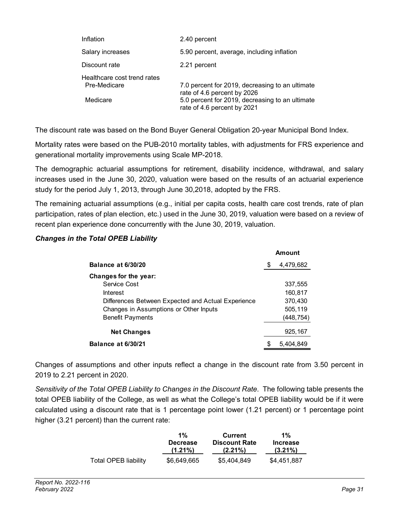| Inflation                                               | 2.40 percent                                                                                                                                                     |
|---------------------------------------------------------|------------------------------------------------------------------------------------------------------------------------------------------------------------------|
| Salary increases                                        | 5.90 percent, average, including inflation                                                                                                                       |
| Discount rate                                           | 2.21 percent                                                                                                                                                     |
| Healthcare cost trend rates<br>Pre-Medicare<br>Medicare | 7.0 percent for 2019, decreasing to an ultimate<br>rate of 4.6 percent by 2026<br>5.0 percent for 2019, decreasing to an ultimate<br>rate of 4.6 percent by 2021 |

The discount rate was based on the Bond Buyer General Obligation 20-year Municipal Bond Index.

Mortality rates were based on the PUB-2010 mortality tables, with adjustments for FRS experience and generational mortality improvements using Scale MP-2018.

The demographic actuarial assumptions for retirement, disability incidence, withdrawal, and salary increases used in the June 30, 2020, valuation were based on the results of an actuarial experience study for the period July 1, 2013, through June 30,2018, adopted by the FRS.

The remaining actuarial assumptions (e.g., initial per capita costs, health care cost trends, rate of plan participation, rates of plan election, etc.) used in the June 30, 2019, valuation were based on a review of recent plan experience done concurrently with the June 30, 2019, valuation.

## *Changes in the Total OPEB Liability*

|                                                    |    | <b>Amount</b> |
|----------------------------------------------------|----|---------------|
| Balance at 6/30/20                                 | \$ | 4,479,682     |
| Changes for the year:                              |    |               |
| Service Cost                                       |    | 337,555       |
| Interest                                           |    | 160,817       |
| Differences Between Expected and Actual Experience |    | 370,430       |
| Changes in Assumptions or Other Inputs             |    | 505,119       |
| <b>Benefit Payments</b>                            |    | (448, 754)    |
| <b>Net Changes</b>                                 |    | 925,167       |
| Balance at 6/30/21                                 | S  | 5,404,849     |

Changes of assumptions and other inputs reflect a change in the discount rate from 3.50 percent in 2019 to 2.21 percent in 2020.

*Sensitivity of the Total OPEB Liability to Changes in the Discount Rate*. The following table presents the total OPEB liability of the College, as well as what the College's total OPEB liability would be if it were calculated using a discount rate that is 1 percentage point lower (1.21 percent) or 1 percentage point higher (3.21 percent) than the current rate:

|                      | $1\%$           | Current              | 1%              |
|----------------------|-----------------|----------------------|-----------------|
|                      | <b>Decrease</b> | <b>Discount Rate</b> | <b>Increase</b> |
|                      | $(1.21\%)$      | $(2.21\%)$           | $(3.21\%)$      |
| Total OPEB liability | \$6,649,665     | \$5,404,849          | \$4.451.887     |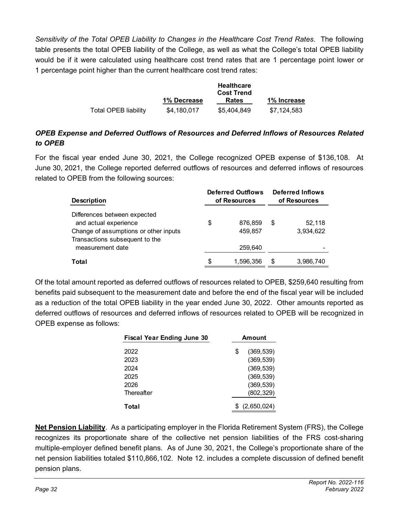*Sensitivity of the Total OPEB Liability to Changes in the Healthcare Cost Trend Rates*. The following table presents the total OPEB liability of the College, as well as what the College's total OPEB liability would be if it were calculated using healthcare cost trend rates that are 1 percentage point lower or 1 percentage point higher than the current healthcare cost trend rates:

|                             | <b>Healthcare</b><br><b>Cost Trend</b> |             |             |
|-----------------------------|----------------------------------------|-------------|-------------|
|                             | 1% Decrease                            | Rates       | 1% Increase |
| <b>Total OPEB liability</b> | \$4.180.017                            | \$5.404.849 | \$7,124,583 |

## *OPEB Expense and Deferred Outflows of Resources and Deferred Inflows of Resources Related to OPEB*

For the fiscal year ended June 30, 2021, the College recognized OPEB expense of \$136,108. At June 30, 2021, the College reported deferred outflows of resources and deferred inflows of resources related to OPEB from the following sources:

| <b>Description</b>                                                      |   | <b>Deferred Outflows</b><br>of Resources |   | <b>Deferred Inflows</b><br>of Resources |
|-------------------------------------------------------------------------|---|------------------------------------------|---|-----------------------------------------|
| Differences between expected<br>and actual experience                   | S | 876,859                                  | S | 52,118                                  |
| Change of assumptions or other inputs<br>Transactions subsequent to the |   | 459,857                                  |   | 3,934,622                               |
| measurement date                                                        |   | 259,640                                  |   |                                         |
| Total                                                                   | S | 1,596,356                                | S | 3,986,740                               |

Of the total amount reported as deferred outflows of resources related to OPEB, \$259,640 resulting from benefits paid subsequent to the measurement date and before the end of the fiscal year will be included as a reduction of the total OPEB liability in the year ended June 30, 2022. Other amounts reported as deferred outflows of resources and deferred inflows of resources related to OPEB will be recognized in OPEB expense as follows:

| <b>Fiscal Year Ending June 30</b> |    | Amount      |  |  |
|-----------------------------------|----|-------------|--|--|
| 2022                              | \$ | (369, 539)  |  |  |
|                                   |    |             |  |  |
| 2023                              |    | (369, 539)  |  |  |
| 2024                              |    | (369, 539)  |  |  |
| 2025                              |    | (369, 539)  |  |  |
| 2026                              |    | (369, 539)  |  |  |
| Thereafter                        |    | (802, 329)  |  |  |
| Total                             |    | (2,650,024) |  |  |

**Net Pension Liability**. As a participating employer in the Florida Retirement System (FRS), the College recognizes its proportionate share of the collective net pension liabilities of the FRS cost-sharing multiple-employer defined benefit plans. As of June 30, 2021, the College's proportionate share of the net pension liabilities totaled \$110,866,102. Note 12. includes a complete discussion of defined benefit pension plans.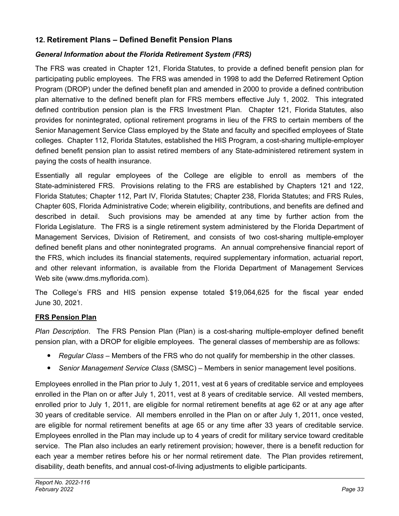## **12. Retirement Plans – Defined Benefit Pension Plans**

## *General Information about the Florida Retirement System (FRS)*

The FRS was created in Chapter 121, Florida Statutes, to provide a defined benefit pension plan for participating public employees. The FRS was amended in 1998 to add the Deferred Retirement Option Program (DROP) under the defined benefit plan and amended in 2000 to provide a defined contribution plan alternative to the defined benefit plan for FRS members effective July 1, 2002. This integrated defined contribution pension plan is the FRS Investment Plan. Chapter 121, Florida Statutes, also provides for nonintegrated, optional retirement programs in lieu of the FRS to certain members of the Senior Management Service Class employed by the State and faculty and specified employees of State colleges. Chapter 112, Florida Statutes, established the HIS Program, a cost-sharing multiple-employer defined benefit pension plan to assist retired members of any State-administered retirement system in paying the costs of health insurance.

Essentially all regular employees of the College are eligible to enroll as members of the State-administered FRS. Provisions relating to the FRS are established by Chapters 121 and 122, Florida Statutes; Chapter 112, Part IV, Florida Statutes; Chapter 238, Florida Statutes; and FRS Rules, Chapter 60S, Florida Administrative Code; wherein eligibility, contributions, and benefits are defined and described in detail. Such provisions may be amended at any time by further action from the Florida Legislature. The FRS is a single retirement system administered by the Florida Department of Management Services, Division of Retirement, and consists of two cost-sharing multiple-employer defined benefit plans and other nonintegrated programs. An annual comprehensive financial report of the FRS, which includes its financial statements, required supplementary information, actuarial report, and other relevant information, is available from the Florida Department of Management Services Web site (www.dms.myflorida.com).

The College's FRS and HIS pension expense totaled \$19,064,625 for the fiscal year ended June 30, 2021.

## **FRS Pension Plan**

*Plan Description*. The FRS Pension Plan (Plan) is a cost-sharing multiple-employer defined benefit pension plan, with a DROP for eligible employees. The general classes of membership are as follows:

- *Regular Class* Members of the FRS who do not qualify for membership in the other classes.
- *Senior Management Service Class* (SMSC) Members in senior management level positions.

Employees enrolled in the Plan prior to July 1, 2011, vest at 6 years of creditable service and employees enrolled in the Plan on or after July 1, 2011, vest at 8 years of creditable service. All vested members, enrolled prior to July 1, 2011, are eligible for normal retirement benefits at age 62 or at any age after 30 years of creditable service. All members enrolled in the Plan on or after July 1, 2011, once vested, are eligible for normal retirement benefits at age 65 or any time after 33 years of creditable service. Employees enrolled in the Plan may include up to 4 years of credit for military service toward creditable service. The Plan also includes an early retirement provision; however, there is a benefit reduction for each year a member retires before his or her normal retirement date. The Plan provides retirement, disability, death benefits, and annual cost-of-living adjustments to eligible participants.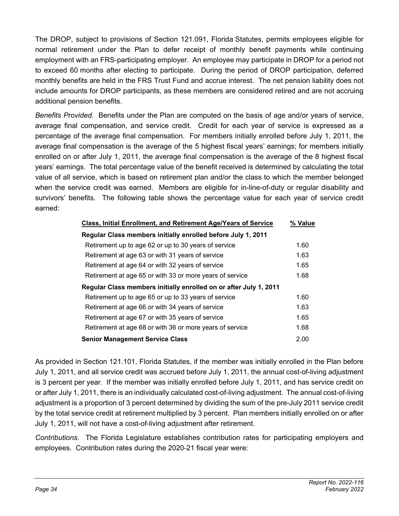The DROP, subject to provisions of Section 121.091, Florida Statutes, permits employees eligible for normal retirement under the Plan to defer receipt of monthly benefit payments while continuing employment with an FRS-participating employer. An employee may participate in DROP for a period not to exceed 60 months after electing to participate. During the period of DROP participation, deferred monthly benefits are held in the FRS Trust Fund and accrue interest. The net pension liability does not include amounts for DROP participants, as these members are considered retired and are not accruing additional pension benefits.

*Benefits Provided*. Benefits under the Plan are computed on the basis of age and/or years of service, average final compensation, and service credit. Credit for each year of service is expressed as a percentage of the average final compensation. For members initially enrolled before July 1, 2011, the average final compensation is the average of the 5 highest fiscal years' earnings; for members initially enrolled on or after July 1, 2011, the average final compensation is the average of the 8 highest fiscal years' earnings. The total percentage value of the benefit received is determined by calculating the total value of all service, which is based on retirement plan and/or the class to which the member belonged when the service credit was earned. Members are eligible for in-line-of-duty or regular disability and survivors' benefits. The following table shows the percentage value for each year of service credit earned:

| <b>Class, Initial Enrollment, and Retirement Age/Years of Service</b> | % Value |
|-----------------------------------------------------------------------|---------|
| Regular Class members initially enrolled before July 1, 2011          |         |
| Retirement up to age 62 or up to 30 years of service                  | 1.60    |
| Retirement at age 63 or with 31 years of service                      | 1.63    |
| Retirement at age 64 or with 32 years of service                      | 1.65    |
| Retirement at age 65 or with 33 or more years of service              | 1.68    |
| Regular Class members initially enrolled on or after July 1, 2011     |         |
| Retirement up to age 65 or up to 33 years of service                  | 1.60    |
| Retirement at age 66 or with 34 years of service                      | 1.63    |
| Retirement at age 67 or with 35 years of service                      | 1.65    |
| Retirement at age 68 or with 36 or more years of service              | 1.68    |
| <b>Senior Management Service Class</b>                                | 2.00    |

As provided in Section 121.101, Florida Statutes, if the member was initially enrolled in the Plan before July 1, 2011, and all service credit was accrued before July 1, 2011, the annual cost-of-living adjustment is 3 percent per year. If the member was initially enrolled before July 1, 2011, and has service credit on or after July 1, 2011, there is an individually calculated cost-of-living adjustment. The annual cost-of-living adjustment is a proportion of 3 percent determined by dividing the sum of the pre-July 2011 service credit by the total service credit at retirement multiplied by 3 percent. Plan members initially enrolled on or after July 1, 2011, will not have a cost-of-living adjustment after retirement.

*Contributions*. The Florida Legislature establishes contribution rates for participating employers and employees. Contribution rates during the 2020-21 fiscal year were: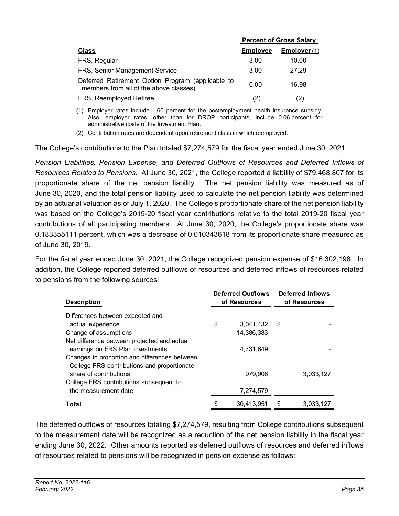|                                                                                             | <b>Percent of Gross Salary</b> |                |  |
|---------------------------------------------------------------------------------------------|--------------------------------|----------------|--|
| <b>Class</b>                                                                                | <b>Employee</b>                | Employer $(1)$ |  |
| FRS, Regular                                                                                | 3.00                           | 10.00          |  |
| FRS, Senior Management Service                                                              | 3.00                           | 27.29          |  |
| Deferred Retirement Option Program (applicable to<br>members from all of the above classes) | 0.00                           | 16.98          |  |
| FRS, Reemployed Retiree                                                                     | (2)                            | (2)            |  |

(1) Employer rates include 1.66 percent for the postemployment health insurance subsidy. Also, employer rates, other than for DROP participants, include 0.06 percent for administrative costs of the Investment Plan.

(2) Contribution rates are dependent upon retirement class in which reemployed.

The College's contributions to the Plan totaled \$7,274,579 for the fiscal year ended June 30, 2021.

*Pension Liabilities, Pension Expense, and Deferred Outflows of Resources and Deferred Inflows of Resources Related to Pensions*. At June 30, 2021, the College reported a liability of \$79,468,807 for its proportionate share of the net pension liability. The net pension liability was measured as of June 30, 2020, and the total pension liability used to calculate the net pension liability was determined by an actuarial valuation as of July 1, 2020. The College's proportionate share of the net pension liability was based on the College's 2019-20 fiscal year contributions relative to the total 2019-20 fiscal year contributions of all participating members. At June 30, 2020, the College's proportionate share was 0.183355111 percent, which was a decrease of 0.010343618 from its proportionate share measured as of June 30, 2019.

For the fiscal year ended June 30, 2021, the College recognized pension expense of \$16,302,198. In addition, the College reported deferred outflows of resources and deferred inflows of resources related to pensions from the following sources:

| <b>Description</b>                            | <b>Deferred Outflows</b><br>of Resources |            | <b>Deferred Inflows</b><br>of Resources |           |
|-----------------------------------------------|------------------------------------------|------------|-----------------------------------------|-----------|
| Differences between expected and              |                                          |            |                                         |           |
| actual experience                             | \$                                       | 3,041,432  | S                                       |           |
| Change of assumptions                         |                                          | 14,386,383 |                                         |           |
| Net difference between projected and actual   |                                          |            |                                         |           |
| earnings on FRS Plan investments              |                                          | 4.731.649  |                                         |           |
| Changes in proportion and differences between |                                          |            |                                         |           |
| College FRS contributions and proportionate   |                                          |            |                                         |           |
| share of contributions                        |                                          | 979.908    |                                         | 3,033,127 |
| College FRS contributions subsequent to       |                                          |            |                                         |           |
| the measurement date                          |                                          | 7,274,579  |                                         |           |
| Total                                         | \$                                       | 30.413.951 | \$                                      | 3.033.127 |

The deferred outflows of resources totaling \$7,274,579, resulting from College contributions subsequent to the measurement date will be recognized as a reduction of the net pension liability in the fiscal year ending June 30, 2022. Other amounts reported as deferred outflows of resources and deferred inflows of resources related to pensions will be recognized in pension expense as follows: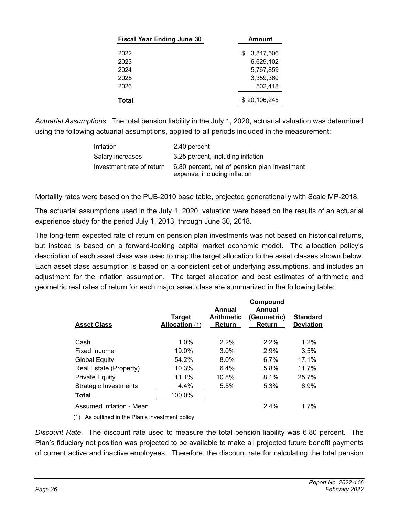| <b>Fiscal Year Ending June 30</b> |                | <b>Amount</b> |  |  |
|-----------------------------------|----------------|---------------|--|--|
| 2022                              | 3,847,506<br>S |               |  |  |
| 2023                              | 6,629,102      |               |  |  |
| 2024                              | 5,767,859      |               |  |  |
| 2025                              | 3,359,360      |               |  |  |
| 2026                              | 502,418        |               |  |  |
| Total                             | \$20,106,245   |               |  |  |

*Actuarial Assumptions*. The total pension liability in the July 1, 2020, actuarial valuation was determined using the following actuarial assumptions, applied to all periods included in the measurement:

| Inflation                 | 2.40 percent                                                                 |
|---------------------------|------------------------------------------------------------------------------|
| Salary increases          | 3.25 percent, including inflation                                            |
| Investment rate of return | 6.80 percent, net of pension plan investment<br>expense, including inflation |

Mortality rates were based on the PUB-2010 base table, projected generationally with Scale MP-2018.

The actuarial assumptions used in the July 1, 2020, valuation were based on the results of an actuarial experience study for the period July 1, 2013, through June 30, 2018.

The long-term expected rate of return on pension plan investments was not based on historical returns, but instead is based on a forward-looking capital market economic model. The allocation policy's description of each asset class was used to map the target allocation to the asset classes shown below. Each asset class assumption is based on a consistent set of underlying assumptions, and includes an adjustment for the inflation assumption. The target allocation and best estimates of arithmetic and geometric real rates of return for each major asset class are summarized in the following table:

| <b>Asset Class</b>           | <b>Target</b><br>Allocation (1) | Annual<br><b>Arithmetic</b><br><b>Return</b> | Compound<br>Annual<br>(Geometric)<br>Return | <b>Standard</b><br><b>Deviation</b> |
|------------------------------|---------------------------------|----------------------------------------------|---------------------------------------------|-------------------------------------|
| Cash                         | 1.0%                            | 2.2%                                         | 2.2%                                        | 1.2%                                |
| Fixed Income                 | 19.0%                           | $3.0\%$                                      | 2.9%                                        | 3.5%                                |
| <b>Global Equity</b>         | 54.2%                           | $8.0\%$                                      | 6.7%                                        | 17.1%                               |
| Real Estate (Property)       | 10.3%                           | 6.4%                                         | 5.8%                                        | 11.7%                               |
| <b>Private Equity</b>        | 11.1%                           | 10.8%                                        | 8.1%                                        | 25.7%                               |
| <b>Strategic Investments</b> | 4.4%                            | 5.5%                                         | 5.3%                                        | 6.9%                                |
| Total                        | 100.0%                          |                                              |                                             |                                     |
| Assumed inflation - Mean     |                                 |                                              | 2.4%                                        | $1.7\%$                             |

(1) As outlined in the Plan's investment policy.

*Discount Rate*. The discount rate used to measure the total pension liability was 6.80 percent. The Plan's fiduciary net position was projected to be available to make all projected future benefit payments of current active and inactive employees. Therefore, the discount rate for calculating the total pension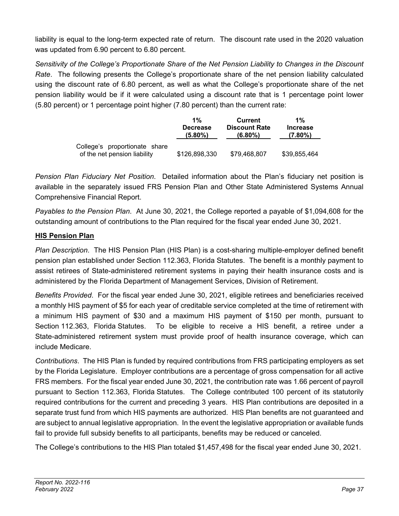liability is equal to the long-term expected rate of return. The discount rate used in the 2020 valuation was updated from 6.90 percent to 6.80 percent.

*Sensitivity of the College's Proportionate Share of the Net Pension Liability to Changes in the Discount Rate*. The following presents the College's proportionate share of the net pension liability calculated using the discount rate of 6.80 percent, as well as what the College's proportionate share of the net pension liability would be if it were calculated using a discount rate that is 1 percentage point lower (5.80 percent) or 1 percentage point higher (7.80 percent) than the current rate:

|                                                               | 1%              | Current              | 1%              |
|---------------------------------------------------------------|-----------------|----------------------|-----------------|
|                                                               | <b>Decrease</b> | <b>Discount Rate</b> | <b>Increase</b> |
|                                                               | $(5.80\%)$      | $(6.80\%)$           | $(7.80\%)$      |
| College's proportionate share<br>of the net pension liability | \$126,898,330   | \$79,468,807         | \$39,855,464    |

*Pension Plan Fiduciary Net Position*. Detailed information about the Plan's fiduciary net position is available in the separately issued FRS Pension Plan and Other State Administered Systems Annual Comprehensive Financial Report.

*Payables to the Pension Plan*. At June 30, 2021, the College reported a payable of \$1,094,608 for the outstanding amount of contributions to the Plan required for the fiscal year ended June 30, 2021.

## **HIS Pension Plan**

*Plan Description*. The HIS Pension Plan (HIS Plan) is a cost-sharing multiple-employer defined benefit pension plan established under Section 112.363, Florida Statutes. The benefit is a monthly payment to assist retirees of State-administered retirement systems in paying their health insurance costs and is administered by the Florida Department of Management Services, Division of Retirement.

*Benefits Provided*. For the fiscal year ended June 30, 2021, eligible retirees and beneficiaries received a monthly HIS payment of \$5 for each year of creditable service completed at the time of retirement with a minimum HIS payment of \$30 and a maximum HIS payment of \$150 per month, pursuant to Section 112.363, Florida Statutes. To be eligible to receive a HIS benefit, a retiree under a State-administered retirement system must provide proof of health insurance coverage, which can include Medicare.

*Contributions*. The HIS Plan is funded by required contributions from FRS participating employers as set by the Florida Legislature. Employer contributions are a percentage of gross compensation for all active FRS members. For the fiscal year ended June 30, 2021, the contribution rate was 1.66 percent of payroll pursuant to Section 112.363, Florida Statutes. The College contributed 100 percent of its statutorily required contributions for the current and preceding 3 years. HIS Plan contributions are deposited in a separate trust fund from which HIS payments are authorized. HIS Plan benefits are not guaranteed and are subject to annual legislative appropriation. In the event the legislative appropriation or available funds fail to provide full subsidy benefits to all participants, benefits may be reduced or canceled.

The College's contributions to the HIS Plan totaled \$1,457,498 for the fiscal year ended June 30, 2021.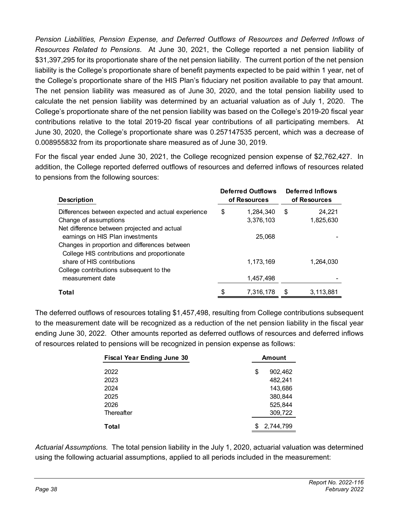*Pension Liabilities, Pension Expense, and Deferred Outflows of Resources and Deferred Inflows of Resources Related to Pensions*. At June 30, 2021, the College reported a net pension liability of \$31,397,295 for its proportionate share of the net pension liability. The current portion of the net pension liability is the College's proportionate share of benefit payments expected to be paid within 1 year, net of the College's proportionate share of the HIS Plan's fiduciary net position available to pay that amount. The net pension liability was measured as of June 30, 2020, and the total pension liability used to calculate the net pension liability was determined by an actuarial valuation as of July 1, 2020. The College's proportionate share of the net pension liability was based on the College's 2019-20 fiscal year contributions relative to the total 2019-20 fiscal year contributions of all participating members. At June 30, 2020, the College's proportionate share was 0.257147535 percent, which was a decrease of 0.008955832 from its proportionate share measured as of June 30, 2019.

For the fiscal year ended June 30, 2021, the College recognized pension expense of \$2,762,427. In addition, the College reported deferred outflows of resources and deferred inflows of resources related to pensions from the following sources:

| <b>Description</b>                                 | <b>Deferred Outflows</b><br>of Resources |           | Deferred Inflows<br>of Resources |
|----------------------------------------------------|------------------------------------------|-----------|----------------------------------|
| Differences between expected and actual experience | \$                                       | 1.284.340 | \$<br>24.221                     |
| Change of assumptions                              |                                          | 3,376,103 | 1,825,630                        |
| Net difference between projected and actual        |                                          |           |                                  |
| earnings on HIS Plan investments                   |                                          | 25,068    |                                  |
| Changes in proportion and differences between      |                                          |           |                                  |
| College HIS contributions and proportionate        |                                          |           |                                  |
| share of HIS contributions                         |                                          | 1,173,169 | 1,264,030                        |
| College contributions subsequent to the            |                                          |           |                                  |
| measurement date                                   |                                          | 1,457,498 |                                  |
| Total                                              | \$                                       | 7,316,178 | \$<br>3,113,881                  |

The deferred outflows of resources totaling \$1,457,498, resulting from College contributions subsequent to the measurement date will be recognized as a reduction of the net pension liability in the fiscal year ending June 30, 2022. Other amounts reported as deferred outflows of resources and deferred inflows of resources related to pensions will be recognized in pension expense as follows:

| <b>Fiscal Year Ending June 30</b> | <b>Amount</b> |  |
|-----------------------------------|---------------|--|
| 2022                              | 902,462<br>\$ |  |
| 2023                              | 482,241       |  |
| 2024                              | 143,686       |  |
| 2025                              | 380,844       |  |
| 2026                              | 525,844       |  |
| Thereafter                        | 309,722       |  |
| Total                             | 2,744,799     |  |

*Actuarial Assumptions.* The total pension liability in the July 1, 2020, actuarial valuation was determined using the following actuarial assumptions, applied to all periods included in the measurement: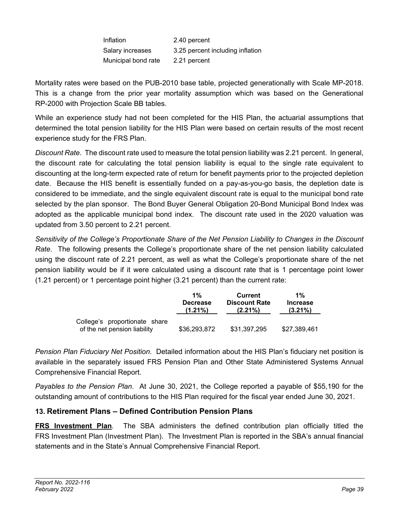Inflation 2.40 percent Salary increases 3.25 percent including inflation Municipal bond rate 2.21 percent

Mortality rates were based on the PUB-2010 base table, projected generationally with Scale MP-2018. This is a change from the prior year mortality assumption which was based on the Generational RP-2000 with Projection Scale BB tables.

While an experience study had not been completed for the HIS Plan, the actuarial assumptions that determined the total pension liability for the HIS Plan were based on certain results of the most recent experience study for the FRS Plan.

*Discount Rate*. The discount rate used to measure the total pension liability was 2.21 percent. In general, the discount rate for calculating the total pension liability is equal to the single rate equivalent to discounting at the long-term expected rate of return for benefit payments prior to the projected depletion date. Because the HIS benefit is essentially funded on a pay-as-you-go basis, the depletion date is considered to be immediate, and the single equivalent discount rate is equal to the municipal bond rate selected by the plan sponsor. The Bond Buyer General Obligation 20-Bond Municipal Bond Index was adopted as the applicable municipal bond index. The discount rate used in the 2020 valuation was updated from 3.50 percent to 2.21 percent.

*Sensitivity of the College's Proportionate Share of the Net Pension Liability to Changes in the Discount Rate*. The following presents the College's proportionate share of the net pension liability calculated using the discount rate of 2.21 percent, as well as what the College's proportionate share of the net pension liability would be if it were calculated using a discount rate that is 1 percentage point lower (1.21 percent) or 1 percentage point higher (3.21 percent) than the current rate:

|                                                               | 1%<br><b>Current</b>          |                                    | 1%                            |
|---------------------------------------------------------------|-------------------------------|------------------------------------|-------------------------------|
|                                                               | <b>Decrease</b><br>$(1.21\%)$ | <b>Discount Rate</b><br>$(2.21\%)$ | <b>Increase</b><br>$(3.21\%)$ |
| College's proportionate share<br>of the net pension liability | \$36,293,872                  | \$31,397,295                       | \$27,389,461                  |

*Pension Plan Fiduciary Net Position*. Detailed information about the HIS Plan's fiduciary net position is available in the separately issued FRS Pension Plan and Other State Administered Systems Annual Comprehensive Financial Report.

*Payables to the Pension Plan*. At June 30, 2021, the College reported a payable of \$55,190 for the outstanding amount of contributions to the HIS Plan required for the fiscal year ended June 30, 2021.

## **13. Retirement Plans – Defined Contribution Pension Plans**

**FRS Investment Plan**. The SBA administers the defined contribution plan officially titled the FRS Investment Plan (Investment Plan). The Investment Plan is reported in the SBA's annual financial statements and in the State's Annual Comprehensive Financial Report.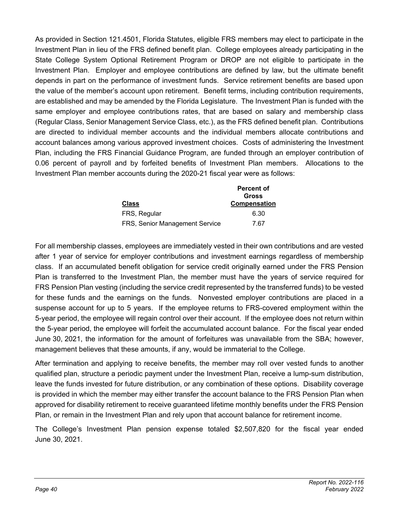As provided in Section 121.4501, Florida Statutes, eligible FRS members may elect to participate in the Investment Plan in lieu of the FRS defined benefit plan. College employees already participating in the State College System Optional Retirement Program or DROP are not eligible to participate in the Investment Plan. Employer and employee contributions are defined by law, but the ultimate benefit depends in part on the performance of investment funds. Service retirement benefits are based upon the value of the member's account upon retirement. Benefit terms, including contribution requirements, are established and may be amended by the Florida Legislature. The Investment Plan is funded with the same employer and employee contributions rates, that are based on salary and membership class (Regular Class, Senior Management Service Class, etc.), as the FRS defined benefit plan. Contributions are directed to individual member accounts and the individual members allocate contributions and account balances among various approved investment choices. Costs of administering the Investment Plan, including the FRS Financial Guidance Program, are funded through an employer contribution of 0.06 percent of payroll and by forfeited benefits of Investment Plan members. Allocations to the Investment Plan member accounts during the 2020-21 fiscal year were as follows:

|                                | <b>Percent of</b> |
|--------------------------------|-------------------|
|                                | Gross             |
| <b>Class</b>                   | Compensation      |
| FRS, Regular                   | 6.30              |
| FRS, Senior Management Service | 7 67              |

For all membership classes, employees are immediately vested in their own contributions and are vested after 1 year of service for employer contributions and investment earnings regardless of membership class. If an accumulated benefit obligation for service credit originally earned under the FRS Pension Plan is transferred to the Investment Plan, the member must have the years of service required for FRS Pension Plan vesting (including the service credit represented by the transferred funds) to be vested for these funds and the earnings on the funds. Nonvested employer contributions are placed in a suspense account for up to 5 years. If the employee returns to FRS-covered employment within the 5-year period, the employee will regain control over their account. If the employee does not return within the 5-year period, the employee will forfeit the accumulated account balance. For the fiscal year ended June 30, 2021, the information for the amount of forfeitures was unavailable from the SBA; however, management believes that these amounts, if any, would be immaterial to the College.

After termination and applying to receive benefits, the member may roll over vested funds to another qualified plan, structure a periodic payment under the Investment Plan, receive a lump-sum distribution, leave the funds invested for future distribution, or any combination of these options. Disability coverage is provided in which the member may either transfer the account balance to the FRS Pension Plan when approved for disability retirement to receive guaranteed lifetime monthly benefits under the FRS Pension Plan, or remain in the Investment Plan and rely upon that account balance for retirement income.

The College's Investment Plan pension expense totaled \$2,507,820 for the fiscal year ended June 30, 2021.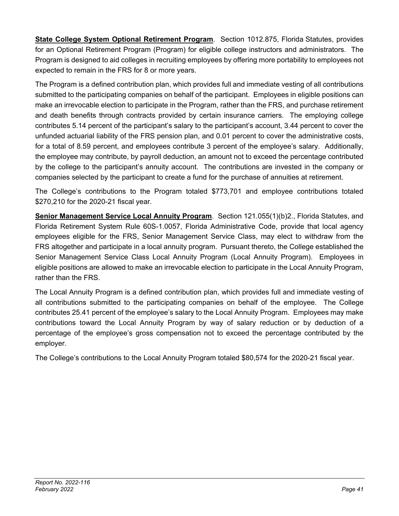**State College System Optional Retirement Program**. Section 1012.875, Florida Statutes, provides for an Optional Retirement Program (Program) for eligible college instructors and administrators. The Program is designed to aid colleges in recruiting employees by offering more portability to employees not expected to remain in the FRS for 8 or more years.

The Program is a defined contribution plan, which provides full and immediate vesting of all contributions submitted to the participating companies on behalf of the participant. Employees in eligible positions can make an irrevocable election to participate in the Program, rather than the FRS, and purchase retirement and death benefits through contracts provided by certain insurance carriers. The employing college contributes 5.14 percent of the participant's salary to the participant's account, 3.44 percent to cover the unfunded actuarial liability of the FRS pension plan, and 0.01 percent to cover the administrative costs, for a total of 8.59 percent, and employees contribute 3 percent of the employee's salary. Additionally, the employee may contribute, by payroll deduction, an amount not to exceed the percentage contributed by the college to the participant's annuity account. The contributions are invested in the company or companies selected by the participant to create a fund for the purchase of annuities at retirement.

The College's contributions to the Program totaled \$773,701 and employee contributions totaled \$270,210 for the 2020-21 fiscal year.

**Senior Management Service Local Annuity Program**. Section 121.055(1)(b)2., Florida Statutes, and Florida Retirement System Rule 60S-1.0057, Florida Administrative Code, provide that local agency employees eligible for the FRS, Senior Management Service Class, may elect to withdraw from the FRS altogether and participate in a local annuity program. Pursuant thereto, the College established the Senior Management Service Class Local Annuity Program (Local Annuity Program). Employees in eligible positions are allowed to make an irrevocable election to participate in the Local Annuity Program, rather than the FRS.

The Local Annuity Program is a defined contribution plan, which provides full and immediate vesting of all contributions submitted to the participating companies on behalf of the employee. The College contributes 25.41 percent of the employee's salary to the Local Annuity Program. Employees may make contributions toward the Local Annuity Program by way of salary reduction or by deduction of a percentage of the employee's gross compensation not to exceed the percentage contributed by the employer.

The College's contributions to the Local Annuity Program totaled \$80,574 for the 2020-21 fiscal year.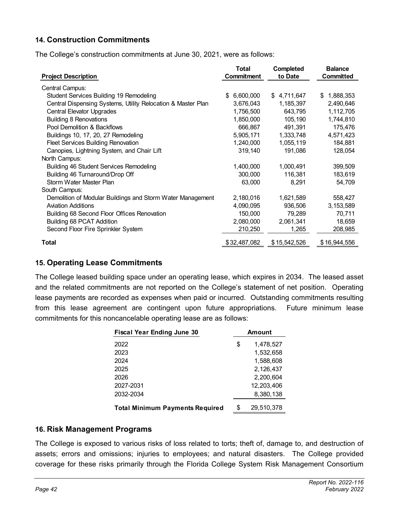## **14. Construction Commitments**

The College's construction commitments at June 30, 2021, were as follows:

|                                                              | <b>Total</b><br><b>Commitment</b> | Completed    | <b>Balance</b>  |
|--------------------------------------------------------------|-----------------------------------|--------------|-----------------|
| <b>Project Description</b>                                   |                                   | to Date      | Committed       |
| Central Campus:                                              |                                   |              |                 |
| Student Services Building 19 Remodeling                      | 6,600,000<br>\$                   | \$4,711,647  | 1,888,353<br>\$ |
| Central Dispensing Systems, Utility Relocation & Master Plan | 3,676,043                         | 1,185,397    | 2,490,646       |
| <b>Central Elevator Upgrades</b>                             | 1,756,500                         | 643,795      | 1,112,705       |
| <b>Building 8 Renovations</b>                                | 1,850,000                         | 105,190      | 1,744,810       |
| Pool Demolition & Backflows                                  | 666,867                           | 491,391      | 175,476         |
| Buildings 10, 17, 20, 27 Remodeling                          | 5,905,171                         | 1,333,748    | 4,571,423       |
| <b>Fleet Services Building Renovation</b>                    | 1,240,000                         | 1,055,119    | 184,881         |
| Canopies, Lightning System, and Chair Lift                   | 319,140                           | 191,086      | 128,054         |
| North Campus:                                                |                                   |              |                 |
| Building 46 Student Services Remodeling                      | 1,400,000                         | 1,000,491    | 399,509         |
| Building 46 Turnaround/Drop Off                              | 300,000                           | 116,381      | 183,619         |
| Storm Water Master Plan                                      | 63,000                            | 8,291        | 54,709          |
| South Campus:                                                |                                   |              |                 |
| Demolition of Modular Buildings and Storm Water Management   | 2,180,016                         | 1,621,589    | 558,427         |
| <b>Aviation Additions</b>                                    | 4,090,095                         | 936,506      | 3, 153, 589     |
| Building 68 Second Floor Offices Renovation                  | 150,000                           | 79,289       | 70,711          |
| Building 68 PCAT Addition                                    | 2,080,000                         | 2,061,341    | 18,659          |
| Second Floor Fire Sprinkler System                           | 210,250                           | 1,265        | 208,985         |
| <b>Total</b>                                                 | \$32,487,082                      | \$15,542,526 | \$16,944,556    |

## **15. Operating Lease Commitments**

The College leased building space under an operating lease, which expires in 2034. The leased asset and the related commitments are not reported on the College's statement of net position. Operating lease payments are recorded as expenses when paid or incurred. Outstanding commitments resulting from this lease agreement are contingent upon future appropriations. Future minimum lease commitments for this noncancelable operating lease are as follows:

| <b>Fiscal Year Ending June 30</b>      | <b>Amount</b> |            |
|----------------------------------------|---------------|------------|
| 2022                                   | \$            | 1,478,527  |
| 2023                                   |               | 1,532,658  |
| 2024                                   |               | 1,588,608  |
| 2025                                   |               | 2,126,437  |
| 2026                                   |               | 2,200,604  |
| 2027-2031                              |               | 12,203,406 |
| 2032-2034                              |               | 8,380,138  |
| <b>Total Minimum Payments Required</b> | \$            | 29,510,378 |

## **16. Risk Management Programs**

The College is exposed to various risks of loss related to torts; theft of, damage to, and destruction of assets; errors and omissions; injuries to employees; and natural disasters. The College provided coverage for these risks primarily through the Florida College System Risk Management Consortium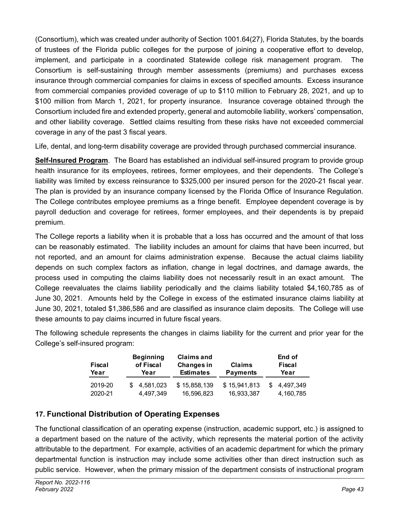(Consortium), which was created under authority of Section 1001.64(27), Florida Statutes, by the boards of trustees of the Florida public colleges for the purpose of joining a cooperative effort to develop, implement, and participate in a coordinated Statewide college risk management program. The Consortium is self-sustaining through member assessments (premiums) and purchases excess insurance through commercial companies for claims in excess of specified amounts. Excess insurance from commercial companies provided coverage of up to \$110 million to February 28, 2021, and up to \$100 million from March 1, 2021, for property insurance. Insurance coverage obtained through the Consortium included fire and extended property, general and automobile liability, workers' compensation, and other liability coverage. Settled claims resulting from these risks have not exceeded commercial coverage in any of the past 3 fiscal years.

Life, dental, and long-term disability coverage are provided through purchased commercial insurance.

**Self-Insured Program**. The Board has established an individual self-insured program to provide group health insurance for its employees, retirees, former employees, and their dependents. The College's liability was limited by excess reinsurance to \$325,000 per insured person for the 2020-21 fiscal year. The plan is provided by an insurance company licensed by the Florida Office of Insurance Regulation. The College contributes employee premiums as a fringe benefit. Employee dependent coverage is by payroll deduction and coverage for retirees, former employees, and their dependents is by prepaid premium.

The College reports a liability when it is probable that a loss has occurred and the amount of that loss can be reasonably estimated. The liability includes an amount for claims that have been incurred, but not reported, and an amount for claims administration expense. Because the actual claims liability depends on such complex factors as inflation, change in legal doctrines, and damage awards, the process used in computing the claims liability does not necessarily result in an exact amount. The College reevaluates the claims liability periodically and the claims liability totaled \$4,160,785 as of June 30, 2021. Amounts held by the College in excess of the estimated insurance claims liability at June 30, 2021, totaled \$1,386,586 and are classified as insurance claim deposits. The College will use these amounts to pay claims incurred in future fiscal years.

The following schedule represents the changes in claims liability for the current and prior year for the College's self-insured program:

| Fiscal<br>Year | <b>Beginning</b><br>of Fiscal<br>Year | <b>Claims and</b><br><b>Changes in</b><br><b>Estimates</b> | <b>Claims</b><br><b>Payments</b> | End of<br><b>Fiscal</b><br>Year |
|----------------|---------------------------------------|------------------------------------------------------------|----------------------------------|---------------------------------|
| 2019-20        | 4.581.023                             | \$15,858,139                                               | \$15,941,813                     | 4.497.349                       |
| 2020-21        | 4.497.349                             | 16,596,823                                                 | 16.933.387                       | 4,160,785                       |

## **17. Functional Distribution of Operating Expenses**

The functional classification of an operating expense (instruction, academic support, etc.) is assigned to a department based on the nature of the activity, which represents the material portion of the activity attributable to the department. For example, activities of an academic department for which the primary departmental function is instruction may include some activities other than direct instruction such as public service. However, when the primary mission of the department consists of instructional program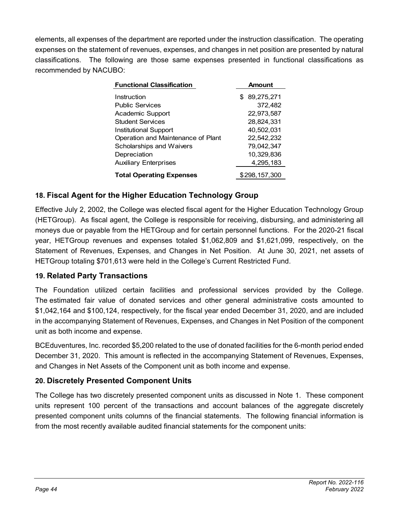elements, all expenses of the department are reported under the instruction classification. The operating expenses on the statement of revenues, expenses, and changes in net position are presented by natural classifications. The following are those same expenses presented in functional classifications as recommended by NACUBO:

| <b>Functional Classification</b>   | Amount          |
|------------------------------------|-----------------|
| Instruction                        | 89,275,271<br>S |
| <b>Public Services</b>             | 372,482         |
| Academic Support                   | 22,973,587      |
| <b>Student Services</b>            | 28,824,331      |
| <b>Institutional Support</b>       | 40,502,031      |
| Operation and Maintenance of Plant | 22,542,232      |
| Scholarships and Waivers           | 79,042,347      |
| Depreciation                       | 10,329,836      |
| <b>Auxiliary Enterprises</b>       | 4,295,183       |
| <b>Total Operating Expenses</b>    | \$298,157,300   |

## **18. Fiscal Agent for the Higher Education Technology Group**

Effective July 2, 2002, the College was elected fiscal agent for the Higher Education Technology Group (HETGroup). As fiscal agent, the College is responsible for receiving, disbursing, and administering all moneys due or payable from the HETGroup and for certain personnel functions. For the 2020-21 fiscal year, HETGroup revenues and expenses totaled \$1,062,809 and \$1,621,099, respectively, on the Statement of Revenues, Expenses, and Changes in Net Position. At June 30, 2021, net assets of HETGroup totaling \$701,613 were held in the College's Current Restricted Fund.

## **19. Related Party Transactions**

The Foundation utilized certain facilities and professional services provided by the College. The estimated fair value of donated services and other general administrative costs amounted to \$1,042,164 and \$100,124, respectively, for the fiscal year ended December 31, 2020, and are included in the accompanying Statement of Revenues, Expenses, and Changes in Net Position of the component unit as both income and expense.

BCEduventures, Inc. recorded \$5,200 related to the use of donated facilities for the 6-month period ended December 31, 2020. This amount is reflected in the accompanying Statement of Revenues, Expenses, and Changes in Net Assets of the Component unit as both income and expense.

## **20. Discretely Presented Component Units**

The College has two discretely presented component units as discussed in Note 1. These component units represent 100 percent of the transactions and account balances of the aggregate discretely presented component units columns of the financial statements. The following financial information is from the most recently available audited financial statements for the component units: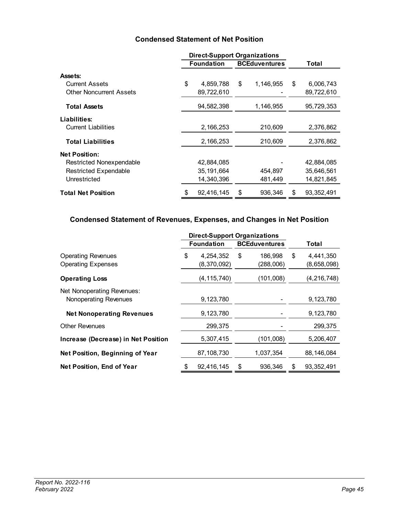## **Condensed Statement of Net Position**

|                                | <b>Direct-Support Organizations</b> |                   |                      |           |                  |  |
|--------------------------------|-------------------------------------|-------------------|----------------------|-----------|------------------|--|
|                                |                                     | <b>Foundation</b> | <b>BCEduventures</b> |           | Total            |  |
| Assets:                        |                                     |                   |                      |           |                  |  |
| <b>Current Assets</b>          | \$                                  | 4,859,788         | \$                   | 1,146,955 | \$<br>6,006,743  |  |
| <b>Other Noncurrent Assets</b> |                                     | 89,722,610        |                      |           | 89,722,610       |  |
| <b>Total Assets</b>            |                                     | 94,582,398        |                      | 1,146,955 | 95,729,353       |  |
| Liabilities:                   |                                     |                   |                      |           |                  |  |
| <b>Current Liabilities</b>     |                                     | 2,166,253         |                      | 210,609   | 2,376,862        |  |
| <b>Total Liabilities</b>       |                                     | 2,166,253         |                      | 210,609   | 2,376,862        |  |
| <b>Net Position:</b>           |                                     |                   |                      |           |                  |  |
| Restricted Nonexpendable       |                                     | 42,884,085        |                      |           | 42,884,085       |  |
| <b>Restricted Expendable</b>   |                                     | 35, 191, 664      |                      | 454,897   | 35,646,561       |  |
| Unrestricted                   |                                     | 14,340,396        |                      | 481,449   | 14,821,845       |  |
| <b>Total Net Position</b>      | \$                                  | 92,416,145        | \$                   | 936,346   | \$<br>93,352,491 |  |

#### **Condensed Statement of Revenues, Expenses, and Changes in Net Position**

|                                     |                   | <b>Direct-Support Organizations</b> |  |                      |    |               |
|-------------------------------------|-------------------|-------------------------------------|--|----------------------|----|---------------|
|                                     | <b>Foundation</b> |                                     |  | <b>BCEduventures</b> |    | Total         |
| <b>Operating Revenues</b>           |                   | 4,254,352<br>\$                     |  | 186,998              | \$ | 4,441,350     |
| <b>Operating Expenses</b>           |                   | (8,370,092)                         |  | (288,006)            |    | (8,658,098)   |
| <b>Operating Loss</b>               |                   | (4, 115, 740)                       |  | (101,008)            |    | (4, 216, 748) |
| Net Nonoperating Revenues:          |                   |                                     |  |                      |    |               |
| Nonoperating Revenues               |                   | 9,123,780                           |  |                      |    | 9,123,780     |
| <b>Net Nonoperating Revenues</b>    |                   | 9,123,780                           |  |                      |    | 9,123,780     |
| <b>Other Revenues</b>               |                   | 299,375                             |  |                      |    | 299,375       |
| Increase (Decrease) in Net Position |                   | 5,307,415                           |  | (101,008)            |    | 5,206,407     |
| Net Position, Beginning of Year     |                   | 87,108,730                          |  | 1,037,354            |    | 88,146,084    |
| <b>Net Position, End of Year</b>    | 92,416,145        |                                     |  | 936,346              | S  | 93, 352, 491  |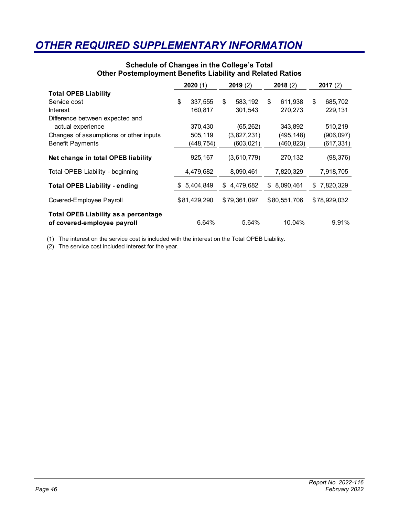## <span id="page-49-0"></span>*OTHER REQUIRED SUPPLEMENTARY INFORMATION*

|                                                                            | 2020(1)       | 2019(2)       | 2018(2)       |     | 2017(2)      |
|----------------------------------------------------------------------------|---------------|---------------|---------------|-----|--------------|
| <b>Total OPEB Liability</b>                                                |               |               |               |     |              |
| Service cost                                                               | \$<br>337,555 | \$<br>583,192 | \$<br>611,938 | \$  | 685.702      |
| <b>Interest</b>                                                            | 160,817       | 301,543       | 270,273       |     | 229,131      |
| Difference between expected and                                            |               |               |               |     |              |
| actual experience                                                          | 370,430       | (65, 262)     | 343,892       |     | 510,219      |
| Changes of assumptions or other inputs                                     | 505,119       | (3,827,231)   | (495, 148)    |     | (906, 097)   |
| <b>Benefit Payments</b>                                                    | (448,754)     | (603, 021)    | (460, 823)    |     | (617, 331)   |
| Net change in total OPEB liability                                         | 925,167       | (3,610,779)   | 270,132       |     | (98, 376)    |
| Total OPEB Liability - beginning                                           | 4,479,682     | 8,090,461     | 7,820,329     |     | 7,918,705    |
| <b>Total OPEB Liability - ending</b>                                       | \$5,404,849   | \$4,479,682   | \$8,090,461   | \$. | 7,820,329    |
| Covered-Employee Payroll                                                   | \$81,429,290  | \$79,361,097  | \$80,551,706  |     | \$78,929,032 |
| <b>Total OPEB Liability as a percentage</b><br>of covered-employee payroll | 6.64%         | 5.64%         | 10.04%        |     | 9.91%        |

#### **Schedule of Changes in the College's Total Other Postemployment Benefits Liability and Related Ratios**

(1) The interest on the service cost is included with the interest on the Total OPEB Liability.

(2) The service cost included interest for the year.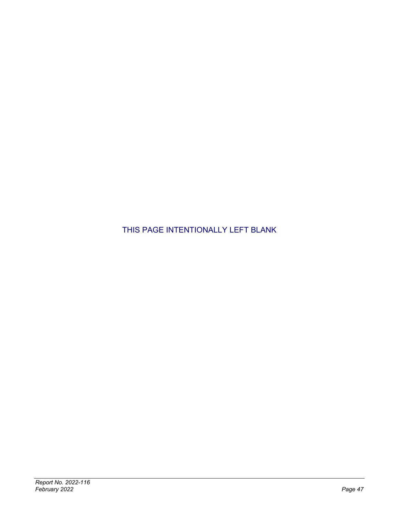THIS PAGE INTENTIONALLY LEFT BLANK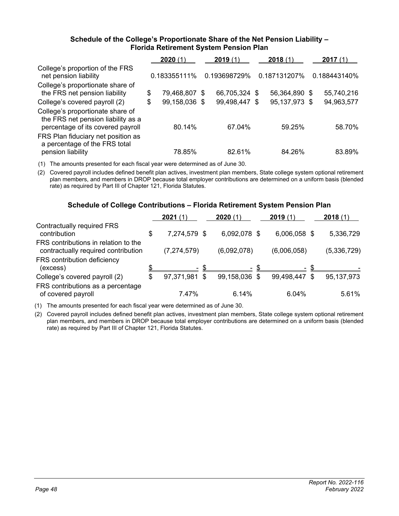#### **Schedule of the College's Proportionate Share of the Net Pension Liability – Florida Retirement System Pension Plan**

<span id="page-51-0"></span>

|                                                                                                             | 2020(1)             |      | 2019(1)       | 2018(1)       | 2017(1)      |
|-------------------------------------------------------------------------------------------------------------|---------------------|------|---------------|---------------|--------------|
| College's proportion of the FRS<br>net pension liability<br>College's proportionate share of                | 0.183355111%        |      | 0.193698729%  | 0.187131207%  | 0.188443140% |
| the FRS net pension liability                                                                               | \$<br>79,468,807    | - \$ | 66,705,324 \$ | 56,364,890 \$ | 55,740,216   |
| College's covered payroll (2)                                                                               | \$<br>99,158,036 \$ |      | 99,498,447 \$ | 95,137,973 \$ | 94,963,577   |
| College's proportionate share of<br>the FRS net pension liability as a<br>percentage of its covered payroll | 80.14%              |      | 67.04%        | 59.25%        | 58.70%       |
| FRS Plan fiduciary net position as<br>a percentage of the FRS total<br>pension liability                    | 78.85%              |      | 82.61%        | 84.26%        | 83.89%       |

(1) The amounts presented for each fiscal year were determined as of June 30.

(2) Covered payroll includes defined benefit plan actives, investment plan members, State college system optional retirement plan members, and members in DROP because total employer contributions are determined on a uniform basis (blended rate) as required by Part III of Chapter 121, Florida Statutes.

#### **Schedule of College Contributions – Florida Retirement System Pension Plan**

|                                                                             | 2021(1)             | 2020(1)                  | 2019(1)      | 2018(1)          |
|-----------------------------------------------------------------------------|---------------------|--------------------------|--------------|------------------|
| Contractually required FRS<br>contribution                                  | \$<br>7,274,579 \$  | 6,092,078 \$             | 6,006,058 \$ | 5,336,729        |
| FRS contributions in relation to the<br>contractually required contribution | (7, 274, 579)       | (6,092,078)              | (6,006,058)  | (5,336,729)      |
| FRS contribution deficiency<br>(excess)                                     |                     | $\overline{\phantom{0}}$ |              |                  |
| College's covered payroll (2)                                               | \$<br>97,371,981 \$ | 99,158,036 \$            | 99,498,447   | \$<br>95,137,973 |
| FRS contributions as a percentage<br>of covered payroll                     | 7.47%               | 6.14%                    | $6.04\%$     | 5.61%            |

(1) The amounts presented for each fiscal year were determined as of June 30.

(2) Covered payroll includes defined benefit plan actives, investment plan members, State college system optional retirement plan members, and members in DROP because total employer contributions are determined on a uniform basis (blended rate) as required by Part III of Chapter 121, Florida Statutes.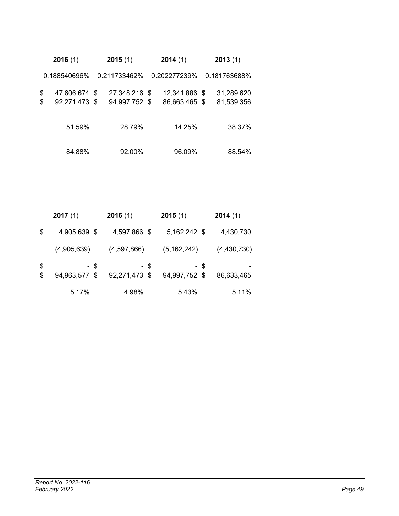|          | 2016(1)                        | 2015(1)                        | <b>2014</b> (1)                | 2013 (1 |                          |  |  |  |
|----------|--------------------------------|--------------------------------|--------------------------------|---------|--------------------------|--|--|--|
|          | 0.188540696%                   | 0.211733462%                   | 0.202277239%                   |         | 0.181763688%             |  |  |  |
| \$<br>\$ | 47,606,674 \$<br>92,271,473 \$ | 27,348,216 \$<br>94,997,752 \$ | 12,341,886 \$<br>86,663,465 \$ |         | 31,289,620<br>81,539,356 |  |  |  |
|          | 51.59%                         | 28.79%                         | 14.25%                         |         | 38.37%                   |  |  |  |
|          | 84.88%                         | 92.00%                         | 96.09%                         |         | 88.54%                   |  |  |  |

| 2017(1)                | 2016(1)       | 2015(1)       | 2014(1)     |
|------------------------|---------------|---------------|-------------|
| \$<br>4,905,639 \$     | 4,597,866 \$  | 5,162,242 \$  | 4,430,730   |
| (4,905,639)            | (4,597,866)   | (5, 162, 242) | (4,430,730) |
|                        | - \$          |               |             |
| \$<br>\$<br>94,963,577 | 92,271,473 \$ | 94,997,752 \$ | 86,633,465  |
| 5.17%                  | 4.98%         | 5.43%         | 5.11%       |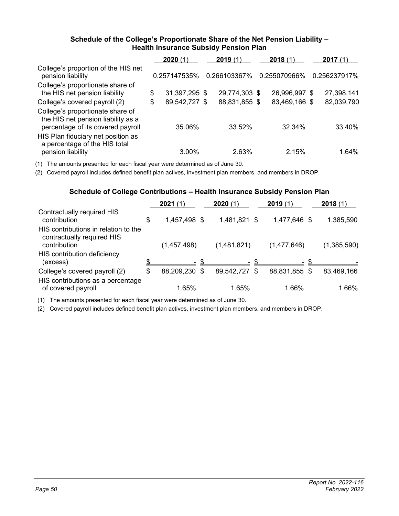#### **Schedule of the College's Proportionate Share of the Net Pension Liability – Health Insurance Subsidy Pension Plan**

<span id="page-53-0"></span>

|                                                                                                             | 2020(1)             | 2019(1)       | 2018(1)       | 2017(1)      |
|-------------------------------------------------------------------------------------------------------------|---------------------|---------------|---------------|--------------|
| College's proportion of the HIS net<br>pension liability<br>College's proportionate share of                | 0.257147535%        | 0.266103367%  | 0.255070966%  | 0.256237917% |
| the HIS net pension liability                                                                               | \$<br>31,397,295 \$ | 29,774,303 \$ | 26,996,997 \$ | 27,398,141   |
| College's covered payroll (2)                                                                               | \$<br>89,542,727 \$ | 88,831,855 \$ | 83,469,166 \$ | 82,039,790   |
| College's proportionate share of<br>the HIS net pension liability as a<br>percentage of its covered payroll | 35.06%              | 33.52%        | 32.34%        | 33.40%       |
| HIS Plan fiduciary net position as<br>a percentage of the HIS total<br>pension liability                    | 3.00%               | 2.63%         | 2.15%         | 1.64%        |

(1) The amounts presented for each fiscal year were determined as of June 30.

(2) Covered payroll includes defined benefit plan actives, investment plan members, and members in DROP.

#### **Schedule of College Contributions – Health Insurance Subsidy Pension Plan**

|                                                                    | 2021(1)            | 2020(1)             | 2019(1)      | 2018(1)          |
|--------------------------------------------------------------------|--------------------|---------------------|--------------|------------------|
| Contractually required HIS<br>contribution                         | \$<br>1,457,498 \$ | 1,481,821 \$        | 1,477,646 \$ | 1,385,590        |
| HIS contributions in relation to the<br>contractually required HIS |                    |                     |              |                  |
| contribution                                                       | (1, 457, 498)      | (1,481,821)         | (1,477,646)  | (1,385,590)      |
| HIS contribution deficiency                                        |                    |                     |              |                  |
| (excess)                                                           |                    |                     |              |                  |
| College's covered payroll (2)                                      | \$<br>88,209,230   | \$<br>89,542,727 \$ | 88,831,855   | \$<br>83,469,166 |
| HIS contributions as a percentage<br>of covered payroll            | 1.65%              | 1.65%               | 1.66%        | 1.66%            |
|                                                                    |                    |                     |              |                  |

(1) The amounts presented for each fiscal year were determined as of June 30.

(2) Covered payroll includes defined benefit plan actives, investment plan members, and members in DROP.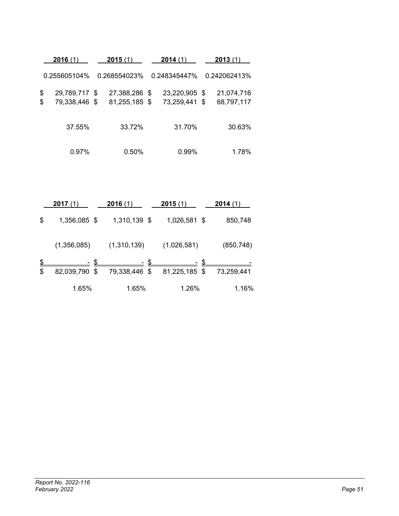|          | 2016(1)                        | 2015(1)                        | 2014(1)                        | 2013 (1                  |  |  |  |  |
|----------|--------------------------------|--------------------------------|--------------------------------|--------------------------|--|--|--|--|
|          | 0.255605104%                   | 0.268554023%                   | 0.248345447%                   | 0.242062413%             |  |  |  |  |
| \$<br>\$ | 29,789,717 \$<br>79,338,446 \$ | 27,388,286 \$<br>81,255,185 \$ | 23,220,905 \$<br>73,259,441 \$ | 21,074,716<br>68,797,117 |  |  |  |  |
|          | 37.55%                         | 33.72%                         | 31.70%                         | 30.63%                   |  |  |  |  |
|          | 0.97%                          | 0.50%                          | $0.99\%$                       | 1.78%                    |  |  |  |  |

| 2017(1)             | 2016(1)       | 2015(1)       | 2014(1)    |
|---------------------|---------------|---------------|------------|
| \$<br>1,356,085 \$  | 1,310,139 \$  | 1,026,581 \$  | 850,748    |
| (1,356,085)         | (1,310,139)   | (1,026,581)   | (850, 748) |
|                     |               |               |            |
| \$<br>82,039,790 \$ | 79,338,446 \$ | 81,225,185 \$ | 73,259,441 |
| 1.65%               | 1.65%         | 1.26%         | 1.16%      |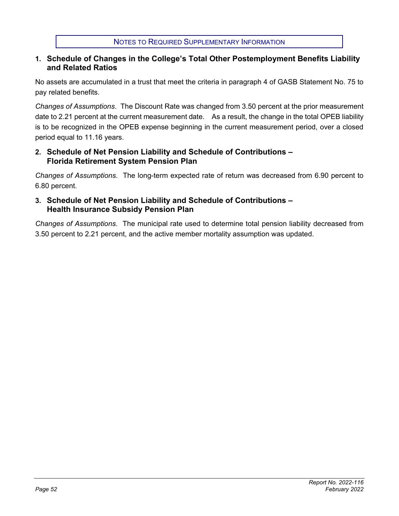## <span id="page-55-0"></span>**1. Schedule of Changes in the College's Total Other Postemployment Benefits Liability and Related Ratios**

No assets are accumulated in a trust that meet the criteria in paragraph 4 of GASB Statement No. 75 to pay related benefits.

*Changes of Assumptions*. The Discount Rate was changed from 3.50 percent at the prior measurement date to 2.21 percent at the current measurement date. As a result, the change in the total OPEB liability is to be recognized in the OPEB expense beginning in the current measurement period, over a closed period equal to 11.16 years.

## **2. Schedule of Net Pension Liability and Schedule of Contributions – Florida Retirement System Pension Plan**

*Changes of Assumptions.* The long-term expected rate of return was decreased from 6.90 percent to 6.80 percent.

## **3. Schedule of Net Pension Liability and Schedule of Contributions – Health Insurance Subsidy Pension Plan**

*Changes of Assumptions.* The municipal rate used to determine total pension liability decreased from 3.50 percent to 2.21 percent, and the active member mortality assumption was updated.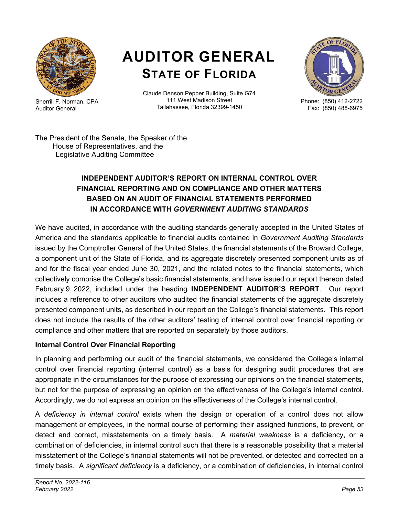<span id="page-56-0"></span>

Sherrill F. Norman, CPA Auditor General

# **AUDITOR GENERAL STATE OF FLORIDA**

Claude Denson Pepper Building, Suite G74 111 West Madison Street Tallahassee, Florida 32399-1450



Phone: (850) 412-2722 Fax: (850) 488-6975

The President of the Senate, the Speaker of the House of Representatives, and the Legislative Auditing Committee

## **INDEPENDENT AUDITOR'S REPORT ON INTERNAL CONTROL OVER FINANCIAL REPORTING AND ON COMPLIANCE AND OTHER MATTERS BASED ON AN AUDIT OF FINANCIAL STATEMENTS PERFORMED IN ACCORDANCE WITH** *GOVERNMENT AUDITING STANDARDS*

We have audited, in accordance with the auditing standards generally accepted in the United States of America and the standards applicable to financial audits contained in *Government Auditing Standards* issued by the Comptroller General of the United States, the financial statements of the Broward College, a component unit of the State of Florida, and its aggregate discretely presented component units as of and for the fiscal year ended June 30, 2021, and the related notes to the financial statements, which collectively comprise the College's basic financial statements, and have issued our report thereon dated February 9, 2022, included under the heading **INDEPENDENT AUDITOR'S REPORT**. Our report includes a reference to other auditors who audited the financial statements of the aggregate discretely presented component units, as described in our report on the College's financial statements. This report does not include the results of the other auditors' testing of internal control over financial reporting or compliance and other matters that are reported on separately by those auditors.

## **Internal Control Over Financial Reporting**

In planning and performing our audit of the financial statements, we considered the College's internal control over financial reporting (internal control) as a basis for designing audit procedures that are appropriate in the circumstances for the purpose of expressing our opinions on the financial statements, but not for the purpose of expressing an opinion on the effectiveness of the College's internal control. Accordingly, we do not express an opinion on the effectiveness of the College's internal control.

A *deficiency in internal control* exists when the design or operation of a control does not allow management or employees, in the normal course of performing their assigned functions, to prevent, or detect and correct, misstatements on a timely basis. A *material weakness* is a deficiency, or a combination of deficiencies, in internal control such that there is a reasonable possibility that a material misstatement of the College's financial statements will not be prevented, or detected and corrected on a timely basis. A *significant deficiency* is a deficiency, or a combination of deficiencies, in internal control